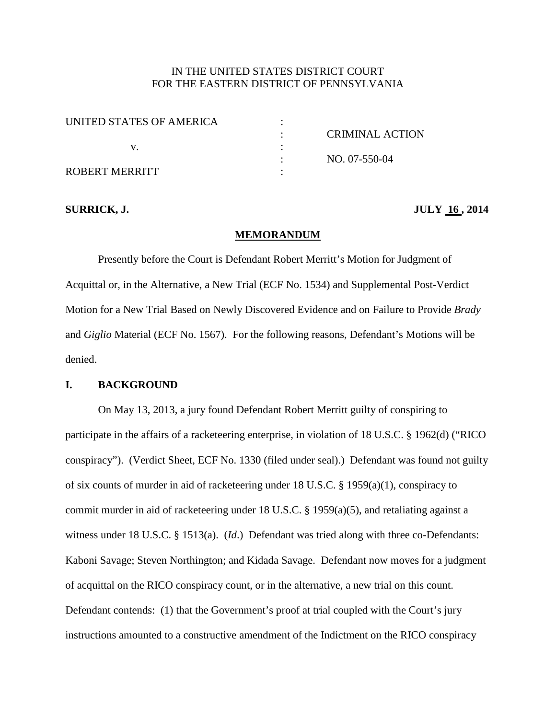# IN THE UNITED STATES DISTRICT COURT FOR THE EASTERN DISTRICT OF PENNSYLVANIA

| UNITED STATES OF AMERICA |                 |
|--------------------------|-----------------|
|                          | CRIMINAL ACTION |
|                          |                 |
|                          | NO. 07-550-04   |
| ROBERT MERRITT           |                 |

## **SURRICK, J. JULY 16 , 2014**

#### **MEMORANDUM**

Presently before the Court is Defendant Robert Merritt's Motion for Judgment of Acquittal or, in the Alternative, a New Trial (ECF No. 1534) and Supplemental Post-Verdict Motion for a New Trial Based on Newly Discovered Evidence and on Failure to Provide *Brady* and *Giglio* Material (ECF No. 1567). For the following reasons, Defendant's Motions will be denied.

#### **I. BACKGROUND**

On May 13, 2013, a jury found Defendant Robert Merritt guilty of conspiring to participate in the affairs of a racketeering enterprise, in violation of 18 U.S.C. § 1962(d) ("RICO conspiracy"). (Verdict Sheet, ECF No. 1330 (filed under seal).) Defendant was found not guilty of six counts of murder in aid of racketeering under 18 U.S.C. § 1959(a)(1), conspiracy to commit murder in aid of racketeering under 18 U.S.C. § 1959(a)(5), and retaliating against a witness under 18 U.S.C. § 1513(a). (*Id*.) Defendant was tried along with three co-Defendants: Kaboni Savage; Steven Northington; and Kidada Savage. Defendant now moves for a judgment of acquittal on the RICO conspiracy count, or in the alternative, a new trial on this count. Defendant contends: (1) that the Government's proof at trial coupled with the Court's jury instructions amounted to a constructive amendment of the Indictment on the RICO conspiracy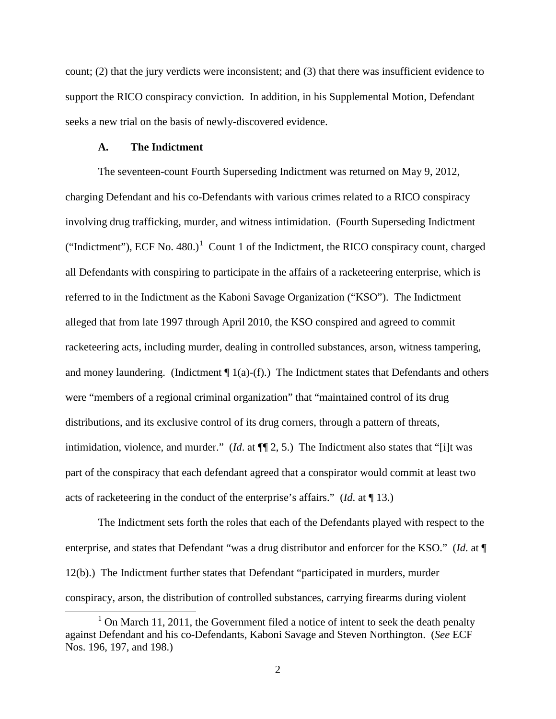count; (2) that the jury verdicts were inconsistent; and (3) that there was insufficient evidence to support the RICO conspiracy conviction. In addition, in his Supplemental Motion, Defendant seeks a new trial on the basis of newly-discovered evidence.

#### **A. The Indictment**

 $\overline{a}$ 

The seventeen-count Fourth Superseding Indictment was returned on May 9, 2012, charging Defendant and his co-Defendants with various crimes related to a RICO conspiracy involving drug trafficking, murder, and witness intimidation. (Fourth Superseding Indictment ("Indictment"), ECF No.  $480$ .)<sup>[1](#page-1-0)</sup> Count 1 of the Indictment, the RICO conspiracy count, charged all Defendants with conspiring to participate in the affairs of a racketeering enterprise, which is referred to in the Indictment as the Kaboni Savage Organization ("KSO"). The Indictment alleged that from late 1997 through April 2010, the KSO conspired and agreed to commit racketeering acts, including murder, dealing in controlled substances, arson, witness tampering, and money laundering. (Indictment  $\P$  1(a)-(f).) The Indictment states that Defendants and others were "members of a regional criminal organization" that "maintained control of its drug distributions, and its exclusive control of its drug corners, through a pattern of threats, intimidation, violence, and murder." (*Id*. at ¶¶ 2, 5.) The Indictment also states that "[i]t was part of the conspiracy that each defendant agreed that a conspirator would commit at least two acts of racketeering in the conduct of the enterprise's affairs." (*Id*. at ¶ 13.)

The Indictment sets forth the roles that each of the Defendants played with respect to the enterprise, and states that Defendant "was a drug distributor and enforcer for the KSO." (*Id*. at ¶ 12(b).) The Indictment further states that Defendant "participated in murders, murder conspiracy, arson, the distribution of controlled substances, carrying firearms during violent

<span id="page-1-0"></span> $1$  On March 11, 2011, the Government filed a notice of intent to seek the death penalty against Defendant and his co-Defendants, Kaboni Savage and Steven Northington. (*See* ECF Nos. 196, 197, and 198.)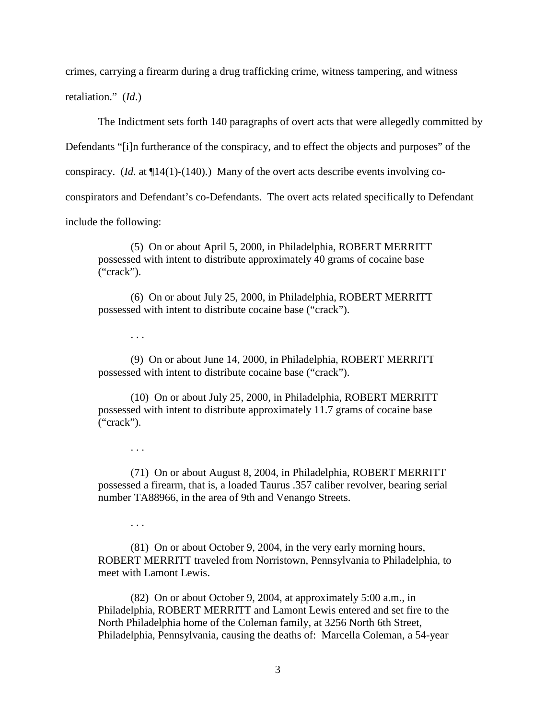crimes, carrying a firearm during a drug trafficking crime, witness tampering, and witness

retaliation." (*Id*.)

The Indictment sets forth 140 paragraphs of overt acts that were allegedly committed by

Defendants "[i]n furtherance of the conspiracy, and to effect the objects and purposes" of the

conspiracy. (*Id*. at ¶14(1)-(140).) Many of the overt acts describe events involving co-

conspirators and Defendant's co-Defendants. The overt acts related specifically to Defendant

include the following:

(5) On or about April 5, 2000, in Philadelphia, ROBERT MERRITT possessed with intent to distribute approximately 40 grams of cocaine base ("crack").

(6) On or about July 25, 2000, in Philadelphia, ROBERT MERRITT possessed with intent to distribute cocaine base ("crack").

. . .

(9) On or about June 14, 2000, in Philadelphia, ROBERT MERRITT possessed with intent to distribute cocaine base ("crack").

(10) On or about July 25, 2000, in Philadelphia, ROBERT MERRITT possessed with intent to distribute approximately 11.7 grams of cocaine base ("crack").

. . .

(71) On or about August 8, 2004, in Philadelphia, ROBERT MERRITT possessed a firearm, that is, a loaded Taurus .357 caliber revolver, bearing serial number TA88966, in the area of 9th and Venango Streets.

. . .

(81) On or about October 9, 2004, in the very early morning hours, ROBERT MERRITT traveled from Norristown, Pennsylvania to Philadelphia, to meet with Lamont Lewis.

(82) On or about October 9, 2004, at approximately 5:00 a.m., in Philadelphia, ROBERT MERRITT and Lamont Lewis entered and set fire to the North Philadelphia home of the Coleman family, at 3256 North 6th Street, Philadelphia, Pennsylvania, causing the deaths of: Marcella Coleman, a 54-year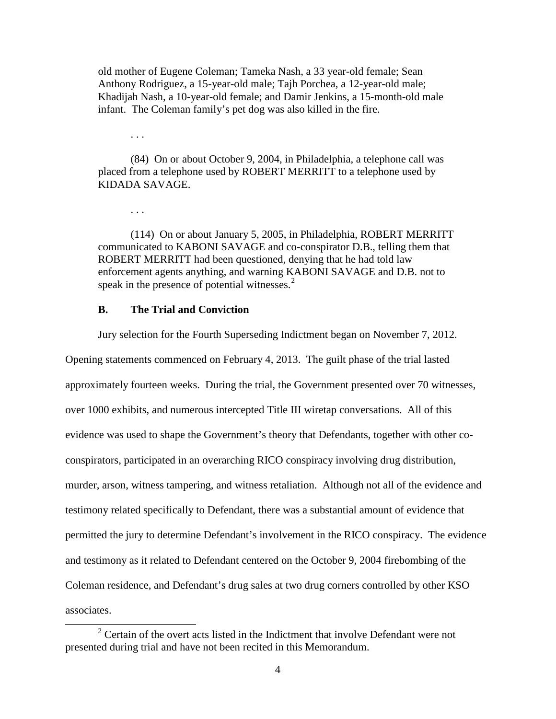old mother of Eugene Coleman; Tameka Nash, a 33 year-old female; Sean Anthony Rodriguez, a 15-year-old male; Tajh Porchea, a 12-year-old male; Khadijah Nash, a 10-year-old female; and Damir Jenkins, a 15-month-old male infant. The Coleman family's pet dog was also killed in the fire.

. . .

. . .

 $\overline{a}$ 

(84) On or about October 9, 2004, in Philadelphia, a telephone call was placed from a telephone used by ROBERT MERRITT to a telephone used by KIDADA SAVAGE.

(114) On or about January 5, 2005, in Philadelphia, ROBERT MERRITT communicated to KABONI SAVAGE and co-conspirator D.B., telling them that ROBERT MERRITT had been questioned, denying that he had told law enforcement agents anything, and warning KABONI SAVAGE and D.B. not to speak in the presence of potential witnesses. $<sup>2</sup>$  $<sup>2</sup>$  $<sup>2</sup>$ </sup>

## **B. The Trial and Conviction**

Jury selection for the Fourth Superseding Indictment began on November 7, 2012.

Opening statements commenced on February 4, 2013. The guilt phase of the trial lasted approximately fourteen weeks. During the trial, the Government presented over 70 witnesses, over 1000 exhibits, and numerous intercepted Title III wiretap conversations. All of this evidence was used to shape the Government's theory that Defendants, together with other coconspirators, participated in an overarching RICO conspiracy involving drug distribution, murder, arson, witness tampering, and witness retaliation. Although not all of the evidence and testimony related specifically to Defendant, there was a substantial amount of evidence that permitted the jury to determine Defendant's involvement in the RICO conspiracy. The evidence and testimony as it related to Defendant centered on the October 9, 2004 firebombing of the Coleman residence, and Defendant's drug sales at two drug corners controlled by other KSO associates.

<span id="page-3-0"></span> $2$  Certain of the overt acts listed in the Indictment that involve Defendant were not presented during trial and have not been recited in this Memorandum.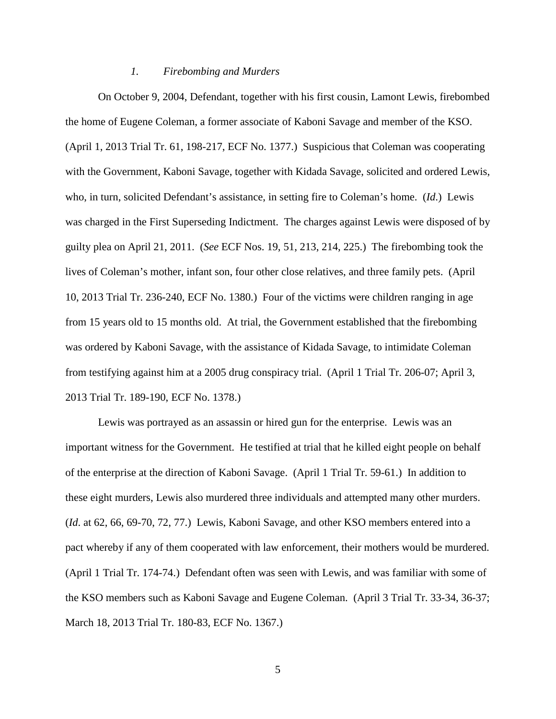#### *1. Firebombing and Murders*

On October 9, 2004, Defendant, together with his first cousin, Lamont Lewis, firebombed the home of Eugene Coleman, a former associate of Kaboni Savage and member of the KSO. (April 1, 2013 Trial Tr. 61, 198-217, ECF No. 1377.) Suspicious that Coleman was cooperating with the Government, Kaboni Savage, together with Kidada Savage, solicited and ordered Lewis, who, in turn, solicited Defendant's assistance, in setting fire to Coleman's home. (*Id*.) Lewis was charged in the First Superseding Indictment. The charges against Lewis were disposed of by guilty plea on April 21, 2011. (*See* ECF Nos. 19, 51, 213, 214, 225.) The firebombing took the lives of Coleman's mother, infant son, four other close relatives, and three family pets. (April 10, 2013 Trial Tr. 236-240, ECF No. 1380.) Four of the victims were children ranging in age from 15 years old to 15 months old. At trial, the Government established that the firebombing was ordered by Kaboni Savage, with the assistance of Kidada Savage, to intimidate Coleman from testifying against him at a 2005 drug conspiracy trial. (April 1 Trial Tr. 206-07; April 3, 2013 Trial Tr. 189-190, ECF No. 1378.)

Lewis was portrayed as an assassin or hired gun for the enterprise. Lewis was an important witness for the Government. He testified at trial that he killed eight people on behalf of the enterprise at the direction of Kaboni Savage. (April 1 Trial Tr. 59-61.) In addition to these eight murders, Lewis also murdered three individuals and attempted many other murders. (*Id*. at 62, 66, 69-70, 72, 77.) Lewis, Kaboni Savage, and other KSO members entered into a pact whereby if any of them cooperated with law enforcement, their mothers would be murdered. (April 1 Trial Tr. 174-74.) Defendant often was seen with Lewis, and was familiar with some of the KSO members such as Kaboni Savage and Eugene Coleman. (April 3 Trial Tr. 33-34, 36-37; March 18, 2013 Trial Tr. 180-83, ECF No. 1367.)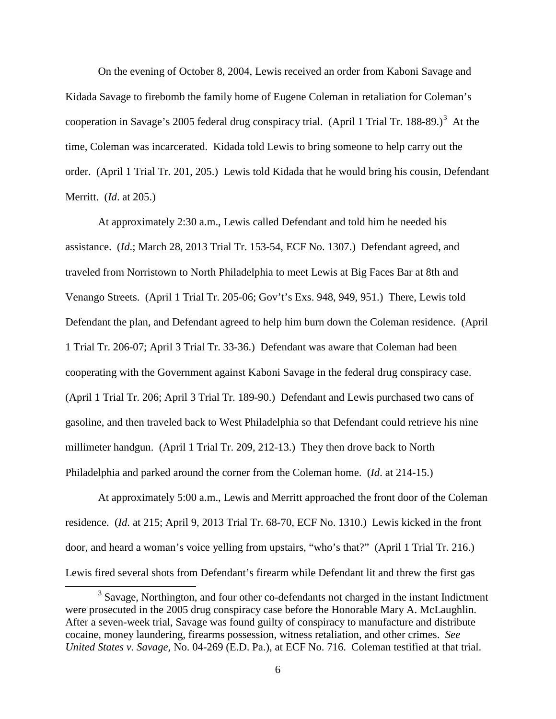On the evening of October 8, 2004, Lewis received an order from Kaboni Savage and Kidada Savage to firebomb the family home of Eugene Coleman in retaliation for Coleman's cooperation in Savage's 2005 federal drug conspiracy trial. (April 1 Trial Tr. 188-89.)<sup>[3](#page-5-0)</sup> At the time, Coleman was incarcerated. Kidada told Lewis to bring someone to help carry out the order. (April 1 Trial Tr. 201, 205.) Lewis told Kidada that he would bring his cousin, Defendant Merritt. (*Id*. at 205.)

At approximately 2:30 a.m., Lewis called Defendant and told him he needed his assistance. (*Id*.; March 28, 2013 Trial Tr. 153-54, ECF No. 1307.) Defendant agreed, and traveled from Norristown to North Philadelphia to meet Lewis at Big Faces Bar at 8th and Venango Streets. (April 1 Trial Tr. 205-06; Gov't's Exs. 948, 949, 951.) There, Lewis told Defendant the plan, and Defendant agreed to help him burn down the Coleman residence. (April 1 Trial Tr. 206-07; April 3 Trial Tr. 33-36.) Defendant was aware that Coleman had been cooperating with the Government against Kaboni Savage in the federal drug conspiracy case. (April 1 Trial Tr. 206; April 3 Trial Tr. 189-90.) Defendant and Lewis purchased two cans of gasoline, and then traveled back to West Philadelphia so that Defendant could retrieve his nine millimeter handgun. (April 1 Trial Tr. 209, 212-13.) They then drove back to North Philadelphia and parked around the corner from the Coleman home. (*Id*. at 214-15.)

At approximately 5:00 a.m., Lewis and Merritt approached the front door of the Coleman residence. (*Id*. at 215; April 9, 2013 Trial Tr. 68-70, ECF No. 1310.) Lewis kicked in the front door, and heard a woman's voice yelling from upstairs, "who's that?" (April 1 Trial Tr. 216.) Lewis fired several shots from Defendant's firearm while Defendant lit and threw the first gas

 $\overline{a}$ 

<span id="page-5-0"></span><sup>&</sup>lt;sup>3</sup> Savage, Northington, and four other co-defendants not charged in the instant Indictment were prosecuted in the 2005 drug conspiracy case before the Honorable Mary A. McLaughlin. After a seven-week trial, Savage was found guilty of conspiracy to manufacture and distribute cocaine, money laundering, firearms possession, witness retaliation, and other crimes. *See United States v. Savage,* No. 04-269 (E.D. Pa.), at ECF No. 716. Coleman testified at that trial.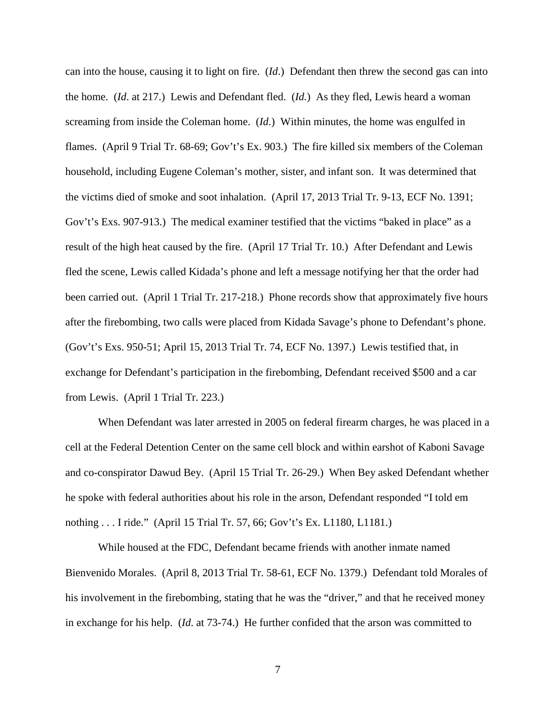can into the house, causing it to light on fire. (*Id*.) Defendant then threw the second gas can into the home. (*Id*. at 217.) Lewis and Defendant fled. (*Id.*) As they fled, Lewis heard a woman screaming from inside the Coleman home. (*Id*.) Within minutes, the home was engulfed in flames. (April 9 Trial Tr. 68-69; Gov't's Ex. 903.) The fire killed six members of the Coleman household, including Eugene Coleman's mother, sister, and infant son. It was determined that the victims died of smoke and soot inhalation. (April 17, 2013 Trial Tr. 9-13, ECF No. 1391; Gov't's Exs. 907-913.) The medical examiner testified that the victims "baked in place" as a result of the high heat caused by the fire. (April 17 Trial Tr. 10.) After Defendant and Lewis fled the scene, Lewis called Kidada's phone and left a message notifying her that the order had been carried out. (April 1 Trial Tr. 217-218.) Phone records show that approximately five hours after the firebombing, two calls were placed from Kidada Savage's phone to Defendant's phone. (Gov't's Exs. 950-51; April 15, 2013 Trial Tr. 74, ECF No. 1397.) Lewis testified that, in exchange for Defendant's participation in the firebombing, Defendant received \$500 and a car from Lewis. (April 1 Trial Tr. 223.)

When Defendant was later arrested in 2005 on federal firearm charges, he was placed in a cell at the Federal Detention Center on the same cell block and within earshot of Kaboni Savage and co-conspirator Dawud Bey. (April 15 Trial Tr. 26-29.) When Bey asked Defendant whether he spoke with federal authorities about his role in the arson, Defendant responded "I told em nothing . . . I ride." (April 15 Trial Tr. 57, 66; Gov't's Ex. L1180, L1181.)

While housed at the FDC, Defendant became friends with another inmate named Bienvenido Morales. (April 8, 2013 Trial Tr. 58-61, ECF No. 1379.) Defendant told Morales of his involvement in the firebombing, stating that he was the "driver," and that he received money in exchange for his help. (*Id*. at 73-74.) He further confided that the arson was committed to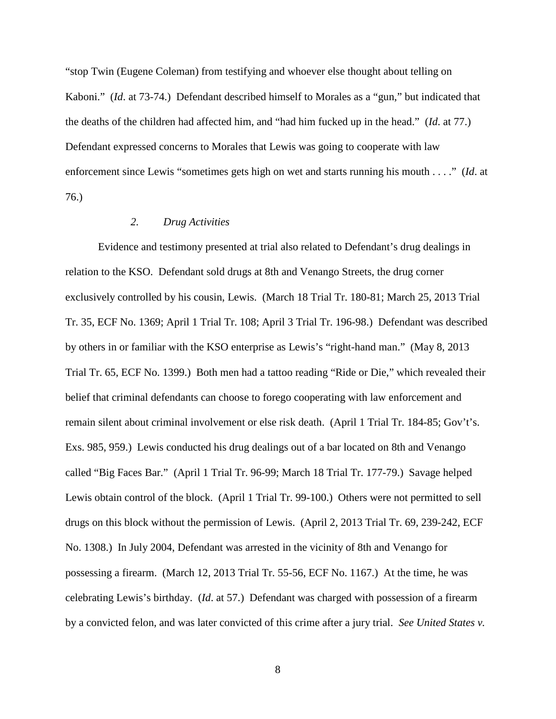"stop Twin (Eugene Coleman) from testifying and whoever else thought about telling on Kaboni." (*Id*. at 73-74.) Defendant described himself to Morales as a "gun," but indicated that the deaths of the children had affected him, and "had him fucked up in the head." (*Id*. at 77.) Defendant expressed concerns to Morales that Lewis was going to cooperate with law enforcement since Lewis "sometimes gets high on wet and starts running his mouth . . . ." (*Id*. at 76.)

#### *2. Drug Activities*

Evidence and testimony presented at trial also related to Defendant's drug dealings in relation to the KSO. Defendant sold drugs at 8th and Venango Streets, the drug corner exclusively controlled by his cousin, Lewis. (March 18 Trial Tr. 180-81; March 25, 2013 Trial Tr. 35, ECF No. 1369; April 1 Trial Tr. 108; April 3 Trial Tr. 196-98.) Defendant was described by others in or familiar with the KSO enterprise as Lewis's "right-hand man." (May 8, 2013 Trial Tr. 65, ECF No. 1399.) Both men had a tattoo reading "Ride or Die," which revealed their belief that criminal defendants can choose to forego cooperating with law enforcement and remain silent about criminal involvement or else risk death. (April 1 Trial Tr. 184-85; Gov't's. Exs. 985, 959.) Lewis conducted his drug dealings out of a bar located on 8th and Venango called "Big Faces Bar." (April 1 Trial Tr. 96-99; March 18 Trial Tr. 177-79.) Savage helped Lewis obtain control of the block. (April 1 Trial Tr. 99-100.) Others were not permitted to sell drugs on this block without the permission of Lewis. (April 2, 2013 Trial Tr. 69, 239-242, ECF No. 1308.) In July 2004, Defendant was arrested in the vicinity of 8th and Venango for possessing a firearm. (March 12, 2013 Trial Tr. 55-56, ECF No. 1167.) At the time, he was celebrating Lewis's birthday. (*Id*. at 57.) Defendant was charged with possession of a firearm by a convicted felon, and was later convicted of this crime after a jury trial. *See United States v.*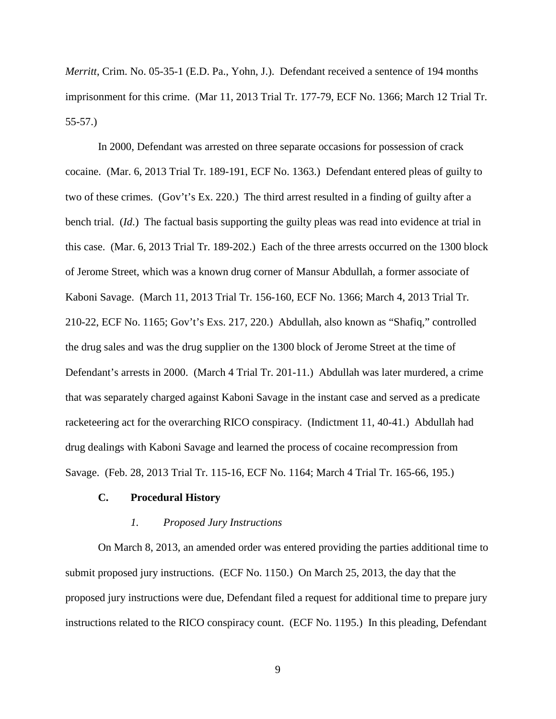*Merritt*, Crim. No. 05-35-1 (E.D. Pa., Yohn, J.). Defendant received a sentence of 194 months imprisonment for this crime. (Mar 11, 2013 Trial Tr. 177-79, ECF No. 1366; March 12 Trial Tr. 55-57.)

In 2000, Defendant was arrested on three separate occasions for possession of crack cocaine. (Mar. 6, 2013 Trial Tr. 189-191, ECF No. 1363.) Defendant entered pleas of guilty to two of these crimes. (Gov't's Ex. 220.) The third arrest resulted in a finding of guilty after a bench trial. (*Id*.) The factual basis supporting the guilty pleas was read into evidence at trial in this case. (Mar. 6, 2013 Trial Tr. 189-202.) Each of the three arrests occurred on the 1300 block of Jerome Street, which was a known drug corner of Mansur Abdullah, a former associate of Kaboni Savage. (March 11, 2013 Trial Tr. 156-160, ECF No. 1366; March 4, 2013 Trial Tr. 210-22, ECF No. 1165; Gov't's Exs. 217, 220.) Abdullah, also known as "Shafiq," controlled the drug sales and was the drug supplier on the 1300 block of Jerome Street at the time of Defendant's arrests in 2000. (March 4 Trial Tr. 201-11.) Abdullah was later murdered, a crime that was separately charged against Kaboni Savage in the instant case and served as a predicate racketeering act for the overarching RICO conspiracy. (Indictment 11, 40-41.) Abdullah had drug dealings with Kaboni Savage and learned the process of cocaine recompression from Savage. (Feb. 28, 2013 Trial Tr. 115-16, ECF No. 1164; March 4 Trial Tr. 165-66, 195.)

#### **C. Procedural History**

#### *1. Proposed Jury Instructions*

On March 8, 2013, an amended order was entered providing the parties additional time to submit proposed jury instructions. (ECF No. 1150.) On March 25, 2013, the day that the proposed jury instructions were due, Defendant filed a request for additional time to prepare jury instructions related to the RICO conspiracy count. (ECF No. 1195.) In this pleading, Defendant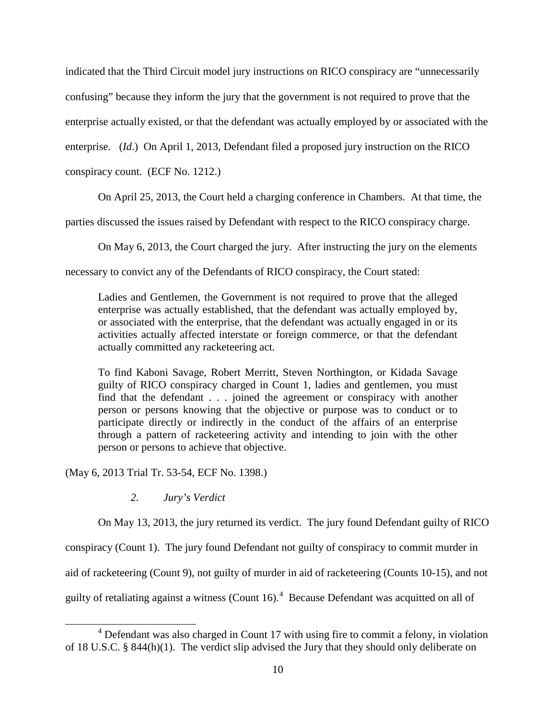indicated that the Third Circuit model jury instructions on RICO conspiracy are "unnecessarily confusing" because they inform the jury that the government is not required to prove that the enterprise actually existed, or that the defendant was actually employed by or associated with the enterprise. (*Id*.) On April 1, 2013, Defendant filed a proposed jury instruction on the RICO

conspiracy count. (ECF No. 1212.)

On April 25, 2013, the Court held a charging conference in Chambers. At that time, the

parties discussed the issues raised by Defendant with respect to the RICO conspiracy charge.

On May 6, 2013, the Court charged the jury. After instructing the jury on the elements

necessary to convict any of the Defendants of RICO conspiracy, the Court stated:

Ladies and Gentlemen, the Government is not required to prove that the alleged enterprise was actually established, that the defendant was actually employed by, or associated with the enterprise, that the defendant was actually engaged in or its activities actually affected interstate or foreign commerce, or that the defendant actually committed any racketeering act.

To find Kaboni Savage, Robert Merritt, Steven Northington, or Kidada Savage guilty of RICO conspiracy charged in Count 1, ladies and gentlemen, you must find that the defendant . . . joined the agreement or conspiracy with another person or persons knowing that the objective or purpose was to conduct or to participate directly or indirectly in the conduct of the affairs of an enterprise through a pattern of racketeering activity and intending to join with the other person or persons to achieve that objective.

(May 6, 2013 Trial Tr. 53-54, ECF No. 1398.)

 $\overline{a}$ 

# *2. Jury's Verdict*

On May 13, 2013, the jury returned its verdict. The jury found Defendant guilty of RICO

conspiracy (Count 1). The jury found Defendant not guilty of conspiracy to commit murder in

aid of racketeering (Count 9), not guilty of murder in aid of racketeering (Counts 10-15), and not

guilty of retaliating against a witness (Count 16).<sup>[4](#page-9-0)</sup> Because Defendant was acquitted on all of

<span id="page-9-0"></span><sup>4</sup> Defendant was also charged in Count 17 with using fire to commit a felony, in violation of 18 U.S.C. § 844(h)(1). The verdict slip advised the Jury that they should only deliberate on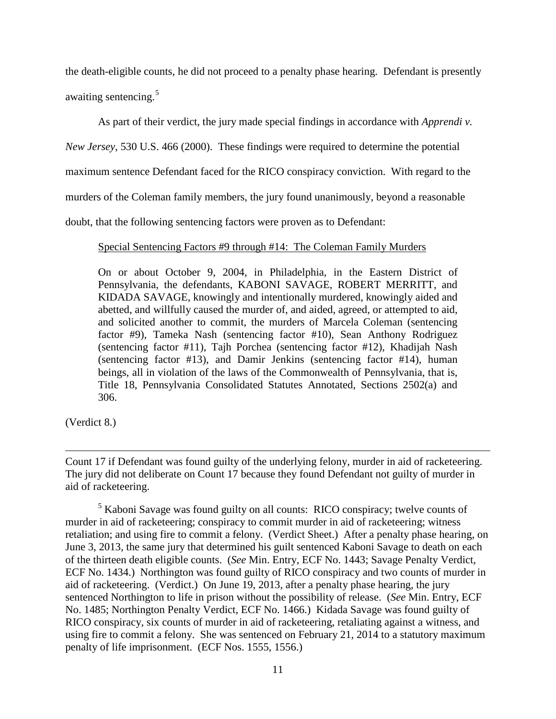the death-eligible counts, he did not proceed to a penalty phase hearing. Defendant is presently awaiting sentencing. [5](#page-10-0)

As part of their verdict, the jury made special findings in accordance with *Apprendi v.* 

*New Jersey*, 530 U.S. 466 (2000). These findings were required to determine the potential

maximum sentence Defendant faced for the RICO conspiracy conviction. With regard to the

murders of the Coleman family members, the jury found unanimously, beyond a reasonable

doubt, that the following sentencing factors were proven as to Defendant:

# Special Sentencing Factors #9 through #14: The Coleman Family Murders

On or about October 9, 2004, in Philadelphia, in the Eastern District of Pennsylvania, the defendants, KABONI SAVAGE, ROBERT MERRITT, and KIDADA SAVAGE, knowingly and intentionally murdered, knowingly aided and abetted, and willfully caused the murder of, and aided, agreed, or attempted to aid, and solicited another to commit, the murders of Marcela Coleman (sentencing factor #9), Tameka Nash (sentencing factor #10), Sean Anthony Rodriguez (sentencing factor #11), Tajh Porchea (sentencing factor #12), Khadijah Nash (sentencing factor #13), and Damir Jenkins (sentencing factor #14), human beings, all in violation of the laws of the Commonwealth of Pennsylvania, that is, Title 18, Pennsylvania Consolidated Statutes Annotated, Sections 2502(a) and 306.

(Verdict 8.)

Count 17 if Defendant was found guilty of the underlying felony, murder in aid of racketeering. The jury did not deliberate on Count 17 because they found Defendant not guilty of murder in aid of racketeering.  $\overline{a}$ 

<span id="page-10-0"></span><sup>5</sup> Kaboni Savage was found guilty on all counts: RICO conspiracy; twelve counts of murder in aid of racketeering; conspiracy to commit murder in aid of racketeering; witness retaliation; and using fire to commit a felony. (Verdict Sheet.) After a penalty phase hearing, on June 3, 2013, the same jury that determined his guilt sentenced Kaboni Savage to death on each of the thirteen death eligible counts. (*See* Min. Entry, ECF No. 1443; Savage Penalty Verdict, ECF No. 1434.) Northington was found guilty of RICO conspiracy and two counts of murder in aid of racketeering. (Verdict.) On June 19, 2013, after a penalty phase hearing, the jury sentenced Northington to life in prison without the possibility of release. (*See* Min. Entry, ECF No. 1485; Northington Penalty Verdict, ECF No. 1466.) Kidada Savage was found guilty of RICO conspiracy, six counts of murder in aid of racketeering, retaliating against a witness, and using fire to commit a felony. She was sentenced on February 21, 2014 to a statutory maximum penalty of life imprisonment. (ECF Nos. 1555, 1556.)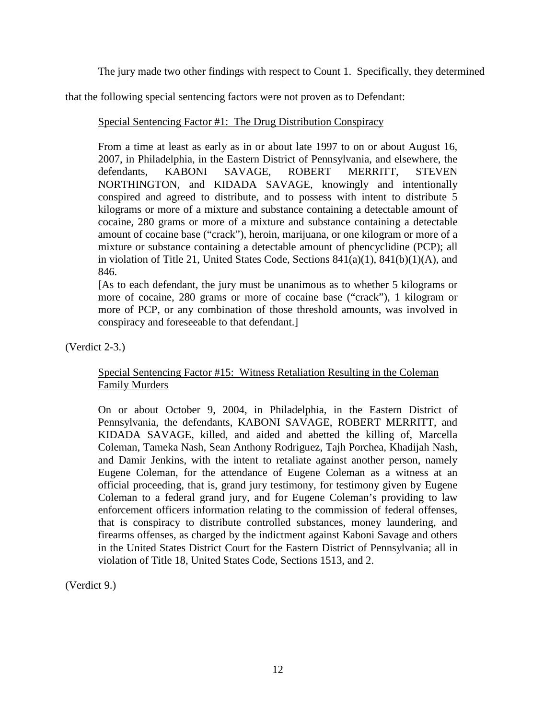The jury made two other findings with respect to Count 1. Specifically, they determined

that the following special sentencing factors were not proven as to Defendant:

Special Sentencing Factor #1: The Drug Distribution Conspiracy

From a time at least as early as in or about late 1997 to on or about August 16, 2007, in Philadelphia, in the Eastern District of Pennsylvania, and elsewhere, the defendants, KABONI SAVAGE, ROBERT MERRITT, STEVEN NORTHINGTON, and KIDADA SAVAGE, knowingly and intentionally conspired and agreed to distribute, and to possess with intent to distribute 5 kilograms or more of a mixture and substance containing a detectable amount of cocaine, 280 grams or more of a mixture and substance containing a detectable amount of cocaine base ("crack"), heroin, marijuana, or one kilogram or more of a mixture or substance containing a detectable amount of phencyclidine (PCP); all in violation of Title 21, United States Code, Sections 841(a)(1), 841(b)(1)(A), and 846.

[As to each defendant, the jury must be unanimous as to whether 5 kilograms or more of cocaine, 280 grams or more of cocaine base ("crack"), 1 kilogram or more of PCP, or any combination of those threshold amounts, was involved in conspiracy and foreseeable to that defendant.]

(Verdict 2-3.)

# Special Sentencing Factor #15: Witness Retaliation Resulting in the Coleman Family Murders

On or about October 9, 2004, in Philadelphia, in the Eastern District of Pennsylvania, the defendants, KABONI SAVAGE, ROBERT MERRITT, and KIDADA SAVAGE, killed, and aided and abetted the killing of, Marcella Coleman, Tameka Nash, Sean Anthony Rodriguez, Tajh Porchea, Khadijah Nash, and Damir Jenkins, with the intent to retaliate against another person, namely Eugene Coleman, for the attendance of Eugene Coleman as a witness at an official proceeding, that is, grand jury testimony, for testimony given by Eugene Coleman to a federal grand jury, and for Eugene Coleman's providing to law enforcement officers information relating to the commission of federal offenses, that is conspiracy to distribute controlled substances, money laundering, and firearms offenses, as charged by the indictment against Kaboni Savage and others in the United States District Court for the Eastern District of Pennsylvania; all in violation of Title 18, United States Code, Sections 1513, and 2.

(Verdict 9.)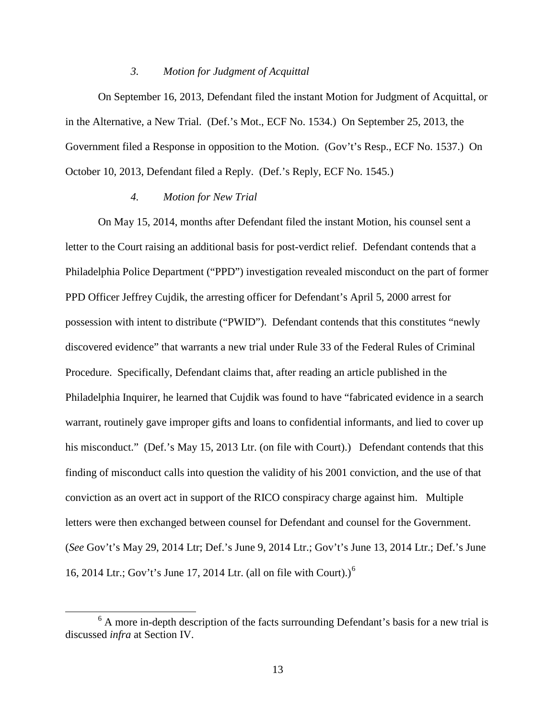#### *3. Motion for Judgment of Acquittal*

On September 16, 2013, Defendant filed the instant Motion for Judgment of Acquittal, or in the Alternative, a New Trial. (Def.'s Mot., ECF No. 1534.) On September 25, 2013, the Government filed a Response in opposition to the Motion. (Gov't's Resp., ECF No. 1537.) On October 10, 2013, Defendant filed a Reply. (Def.'s Reply, ECF No. 1545.)

#### *4. Motion for New Trial*

 $\overline{a}$ 

On May 15, 2014, months after Defendant filed the instant Motion, his counsel sent a letter to the Court raising an additional basis for post-verdict relief. Defendant contends that a Philadelphia Police Department ("PPD") investigation revealed misconduct on the part of former PPD Officer Jeffrey Cujdik, the arresting officer for Defendant's April 5, 2000 arrest for possession with intent to distribute ("PWID"). Defendant contends that this constitutes "newly discovered evidence" that warrants a new trial under Rule 33 of the Federal Rules of Criminal Procedure. Specifically, Defendant claims that, after reading an article published in the Philadelphia Inquirer, he learned that Cujdik was found to have "fabricated evidence in a search warrant, routinely gave improper gifts and loans to confidential informants, and lied to cover up his misconduct." (Def.'s May 15, 2013 Ltr. (on file with Court).) Defendant contends that this finding of misconduct calls into question the validity of his 2001 conviction, and the use of that conviction as an overt act in support of the RICO conspiracy charge against him. Multiple letters were then exchanged between counsel for Defendant and counsel for the Government. (*See* Gov't's May 29, 2014 Ltr; Def.'s June 9, 2014 Ltr.; Gov't's June 13, 2014 Ltr.; Def.'s June 1[6](#page-12-0), 2014 Ltr.; Gov't's June 17, 2014 Ltr. (all on file with Court).)<sup>6</sup>

<span id="page-12-0"></span> $6$  A more in-depth description of the facts surrounding Defendant's basis for a new trial is discussed *infra* at Section IV.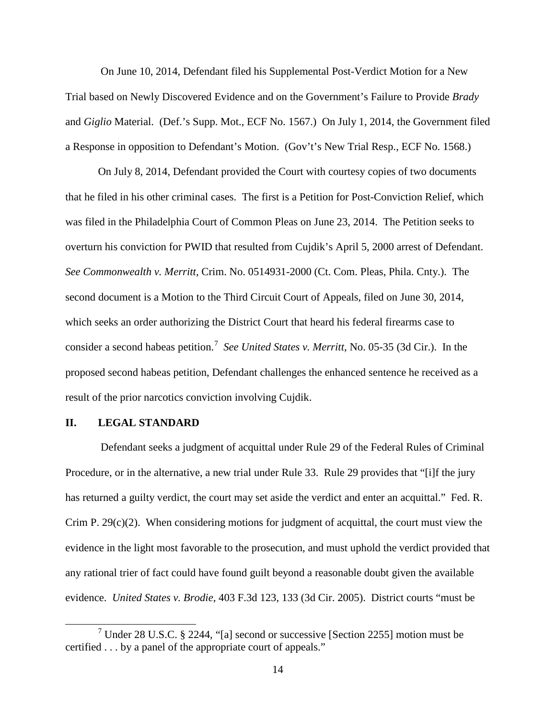On June 10, 2014, Defendant filed his Supplemental Post-Verdict Motion for a New Trial based on Newly Discovered Evidence and on the Government's Failure to Provide *Brady* and *Giglio* Material. (Def.'s Supp. Mot., ECF No. 1567.) On July 1, 2014, the Government filed a Response in opposition to Defendant's Motion. (Gov't's New Trial Resp., ECF No. 1568.)

On July 8, 2014, Defendant provided the Court with courtesy copies of two documents that he filed in his other criminal cases. The first is a Petition for Post-Conviction Relief, which was filed in the Philadelphia Court of Common Pleas on June 23, 2014. The Petition seeks to overturn his conviction for PWID that resulted from Cujdik's April 5, 2000 arrest of Defendant. *See Commonwealth v. Merritt*, Crim. No. 0514931-2000 (Ct. Com. Pleas, Phila. Cnty.). The second document is a Motion to the Third Circuit Court of Appeals, filed on June 30, 2014, which seeks an order authorizing the District Court that heard his federal firearms case to consider a second habeas petition.<sup>[7](#page-13-0)</sup> See United States v. Merritt, No. 05-35 (3d Cir.). In the proposed second habeas petition, Defendant challenges the enhanced sentence he received as a result of the prior narcotics conviction involving Cujdik.

#### **II. LEGAL STANDARD**

 $\overline{a}$ 

Defendant seeks a judgment of acquittal under Rule 29 of the Federal Rules of Criminal Procedure, or in the alternative, a new trial under Rule 33. Rule 29 provides that "[i]f the jury has returned a guilty verdict, the court may set aside the verdict and enter an acquittal." Fed. R. Crim P. 29(c)(2). When considering motions for judgment of acquittal, the court must view the evidence in the light most favorable to the prosecution, and must uphold the verdict provided that any rational trier of fact could have found guilt beyond a reasonable doubt given the available evidence. *United States v. Brodie*, 403 F.3d 123, 133 (3d Cir. 2005). District courts "must be

<span id="page-13-0"></span><sup>7</sup> Under 28 U.S.C. § 2244, "[a] second or successive [Section 2255] motion must be certified . . . by a panel of the appropriate court of appeals."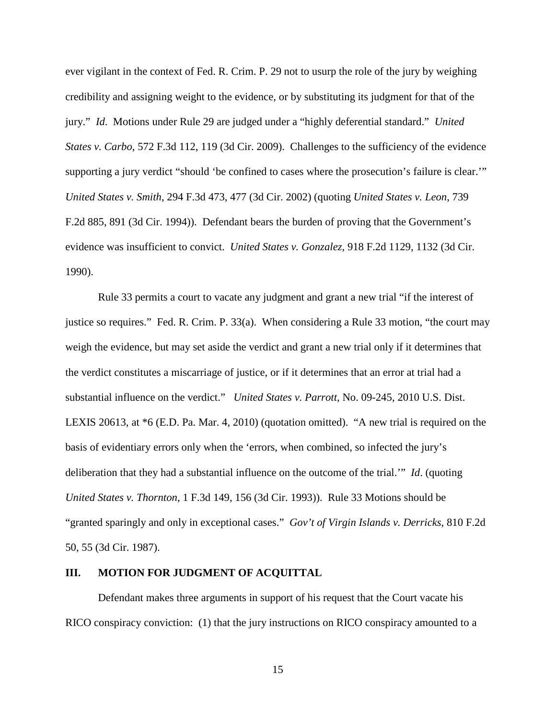ever vigilant in the context of Fed. R. Crim. P. 29 not to usurp the role of the jury by weighing credibility and assigning weight to the evidence, or by substituting its judgment for that of the jury." *Id*. Motions under Rule 29 are judged under a "highly deferential standard." *United States v. Carbo*, 572 F.3d 112, 119 (3d Cir. 2009). Challenges to the sufficiency of the evidence supporting a jury verdict "should 'be confined to cases where the prosecution's failure is clear.'" *United States v. Smith*, 294 F.3d 473, 477 (3d Cir. 2002) (quoting *United States v. Leon*, 739 F.2d 885, 891 (3d Cir. 1994)). Defendant bears the burden of proving that the Government's evidence was insufficient to convict. *United States v. Gonzalez*, 918 F.2d 1129, 1132 (3d Cir. 1990).

Rule 33 permits a court to vacate any judgment and grant a new trial "if the interest of justice so requires." Fed. R. Crim. P. 33(a). When considering a Rule 33 motion, "the court may weigh the evidence, but may set aside the verdict and grant a new trial only if it determines that the verdict constitutes a miscarriage of justice, or if it determines that an error at trial had a substantial influence on the verdict." *United States v. Parrott*, No. 09-245, 2010 U.S. Dist. LEXIS 20613, at \*6 (E.D. Pa. Mar. 4, 2010) (quotation omitted). "A new trial is required on the basis of evidentiary errors only when the 'errors, when combined, so infected the jury's deliberation that they had a substantial influence on the outcome of the trial.'" *Id*. (quoting *United States v. Thornton*, 1 F.3d 149, 156 (3d Cir. 1993)). Rule 33 Motions should be "granted sparingly and only in exceptional cases." *Gov't of Virgin Islands v. Derricks*, 810 F.2d 50, 55 (3d Cir. 1987).

#### **III. MOTION FOR JUDGMENT OF ACQUITTAL**

Defendant makes three arguments in support of his request that the Court vacate his RICO conspiracy conviction: (1) that the jury instructions on RICO conspiracy amounted to a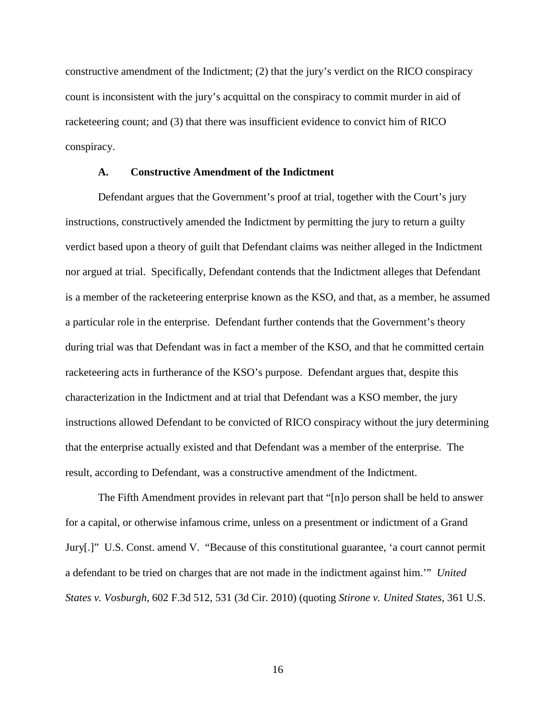constructive amendment of the Indictment; (2) that the jury's verdict on the RICO conspiracy count is inconsistent with the jury's acquittal on the conspiracy to commit murder in aid of racketeering count; and (3) that there was insufficient evidence to convict him of RICO conspiracy.

#### **A. Constructive Amendment of the Indictment**

Defendant argues that the Government's proof at trial, together with the Court's jury instructions, constructively amended the Indictment by permitting the jury to return a guilty verdict based upon a theory of guilt that Defendant claims was neither alleged in the Indictment nor argued at trial. Specifically, Defendant contends that the Indictment alleges that Defendant is a member of the racketeering enterprise known as the KSO, and that, as a member, he assumed a particular role in the enterprise. Defendant further contends that the Government's theory during trial was that Defendant was in fact a member of the KSO, and that he committed certain racketeering acts in furtherance of the KSO's purpose. Defendant argues that, despite this characterization in the Indictment and at trial that Defendant was a KSO member, the jury instructions allowed Defendant to be convicted of RICO conspiracy without the jury determining that the enterprise actually existed and that Defendant was a member of the enterprise. The result, according to Defendant, was a constructive amendment of the Indictment.

The Fifth Amendment provides in relevant part that "[n]o person shall be held to answer for a capital, or otherwise infamous crime, unless on a presentment or indictment of a Grand Jury[.]" U.S. Const. amend V. "Because of this constitutional guarantee, 'a court cannot permit a defendant to be tried on charges that are not made in the indictment against him.'" *United States v. Vosburgh*, 602 F.3d 512, 531 (3d Cir. 2010) (quoting *Stirone v. United States*, 361 U.S.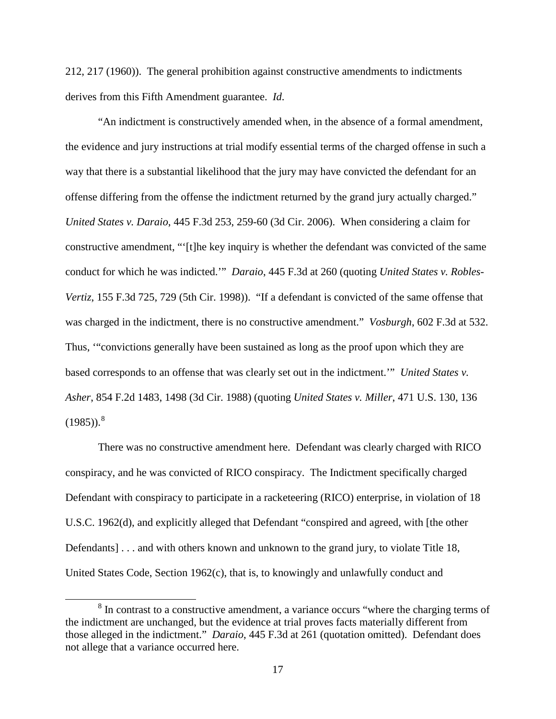212, 217 (1960)). The general prohibition against constructive amendments to indictments derives from this Fifth Amendment guarantee. *Id*.

"An indictment is constructively amended when, in the absence of a formal amendment, the evidence and jury instructions at trial modify essential terms of the charged offense in such a way that there is a substantial likelihood that the jury may have convicted the defendant for an offense differing from the offense the indictment returned by the grand jury actually charged." *United States v. Daraio*, 445 F.3d 253, 259-60 (3d Cir. 2006). When considering a claim for constructive amendment, "'[t]he key inquiry is whether the defendant was convicted of the same conduct for which he was indicted.'" *Daraio*, 445 F.3d at 260 (quoting *United States v. Robles-Vertiz*, 155 F.3d 725, 729 (5th Cir. 1998)). "If a defendant is convicted of the same offense that was charged in the indictment, there is no constructive amendment." *Vosburgh*, 602 F.3d at 532. Thus, '"convictions generally have been sustained as long as the proof upon which they are based corresponds to an offense that was clearly set out in the indictment.'" *United States v. Asher*, 854 F.2d 1483, 1498 (3d Cir. 1988) (quoting *United States v. Miller*, 471 U.S. 130, 136  $(1985)$  $(1985)$  $(1985)$ .<sup>8</sup>

There was no constructive amendment here. Defendant was clearly charged with RICO conspiracy, and he was convicted of RICO conspiracy. The Indictment specifically charged Defendant with conspiracy to participate in a racketeering (RICO) enterprise, in violation of 18 U.S.C. 1962(d), and explicitly alleged that Defendant "conspired and agreed, with [the other Defendants] . . . and with others known and unknown to the grand jury, to violate Title 18, United States Code, Section 1962(c), that is, to knowingly and unlawfully conduct and

 $\overline{a}$ 

<span id="page-16-0"></span><sup>&</sup>lt;sup>8</sup> In contrast to a constructive amendment, a variance occurs "where the charging terms of the indictment are unchanged, but the evidence at trial proves facts materially different from those alleged in the indictment." *Daraio*, 445 F.3d at 261 (quotation omitted). Defendant does not allege that a variance occurred here.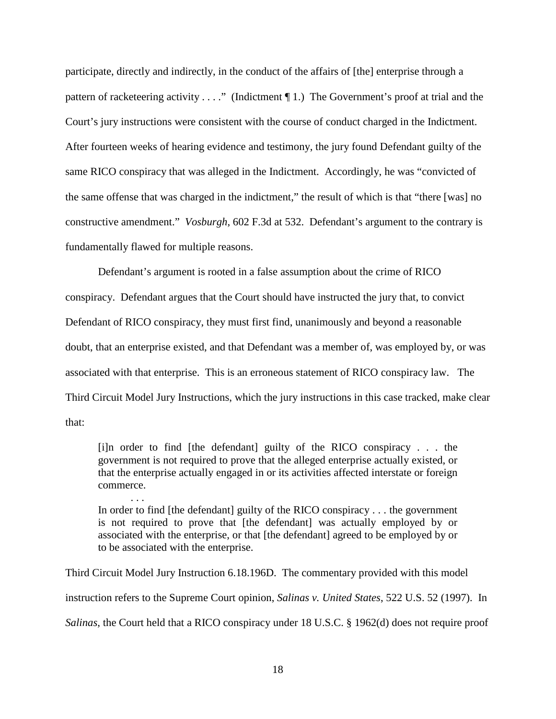participate, directly and indirectly, in the conduct of the affairs of [the] enterprise through a pattern of racketeering activity . . . ." (Indictment  $\P$  1.) The Government's proof at trial and the Court's jury instructions were consistent with the course of conduct charged in the Indictment. After fourteen weeks of hearing evidence and testimony, the jury found Defendant guilty of the same RICO conspiracy that was alleged in the Indictment. Accordingly, he was "convicted of the same offense that was charged in the indictment," the result of which is that "there [was] no constructive amendment." *Vosburgh*, 602 F.3d at 532. Defendant's argument to the contrary is fundamentally flawed for multiple reasons.

Defendant's argument is rooted in a false assumption about the crime of RICO conspiracy. Defendant argues that the Court should have instructed the jury that, to convict Defendant of RICO conspiracy, they must first find, unanimously and beyond a reasonable doubt, that an enterprise existed, and that Defendant was a member of, was employed by, or was associated with that enterprise. This is an erroneous statement of RICO conspiracy law. The Third Circuit Model Jury Instructions, which the jury instructions in this case tracked, make clear that:

[i]n order to find [the defendant] guilty of the RICO conspiracy . . . the government is not required to prove that the alleged enterprise actually existed, or that the enterprise actually engaged in or its activities affected interstate or foreign commerce.

. . . In order to find [the defendant] guilty of the RICO conspiracy . . . the government is not required to prove that [the defendant] was actually employed by or associated with the enterprise, or that [the defendant] agreed to be employed by or to be associated with the enterprise.

Third Circuit Model Jury Instruction 6.18.196D. The commentary provided with this model instruction refers to the Supreme Court opinion, *Salinas v. United States*, 522 U.S. 52 (1997). In *Salinas*, the Court held that a RICO conspiracy under 18 U.S.C. § 1962(d) does not require proof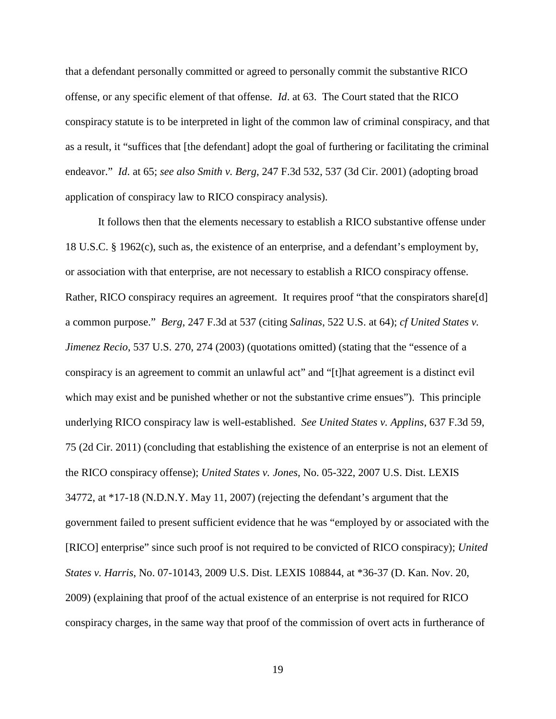that a defendant personally committed or agreed to personally commit the substantive RICO offense, or any specific element of that offense. *Id*. at 63. The Court stated that the RICO conspiracy statute is to be interpreted in light of the common law of criminal conspiracy, and that as a result, it "suffices that [the defendant] adopt the goal of furthering or facilitating the criminal endeavor." *Id*. at 65; *see also Smith v. Berg*, 247 F.3d 532, 537 (3d Cir. 2001) (adopting broad application of conspiracy law to RICO conspiracy analysis).

It follows then that the elements necessary to establish a RICO substantive offense under 18 U.S.C. § 1962(c), such as, the existence of an enterprise, and a defendant's employment by, or association with that enterprise, are not necessary to establish a RICO conspiracy offense. Rather, RICO conspiracy requires an agreement. It requires proof "that the conspirators share[d] a common purpose." *Berg*, 247 F.3d at 537 (citing *Salinas*, 522 U.S. at 64); *cf United States v. Jimenez Recio*, 537 U.S. 270, 274 (2003) (quotations omitted) (stating that the "essence of a conspiracy is an agreement to commit an unlawful act" and "[t]hat agreement is a distinct evil which may exist and be punished whether or not the substantive crime ensues"). This principle underlying RICO conspiracy law is well-established. *See United States v. Applins*, 637 F.3d 59, 75 (2d Cir. 2011) (concluding that establishing the existence of an enterprise is not an element of the RICO conspiracy offense); *United States v. Jones*, No. 05-322, 2007 U.S. Dist. LEXIS 34772, at \*17-18 (N.D.N.Y. May 11, 2007) (rejecting the defendant's argument that the government failed to present sufficient evidence that he was "employed by or associated with the [RICO] enterprise" since such proof is not required to be convicted of RICO conspiracy); *United States v. Harris*, No. 07-10143, 2009 U.S. Dist. LEXIS 108844, at \*36-37 (D. Kan. Nov. 20, 2009) (explaining that proof of the actual existence of an enterprise is not required for RICO conspiracy charges, in the same way that proof of the commission of overt acts in furtherance of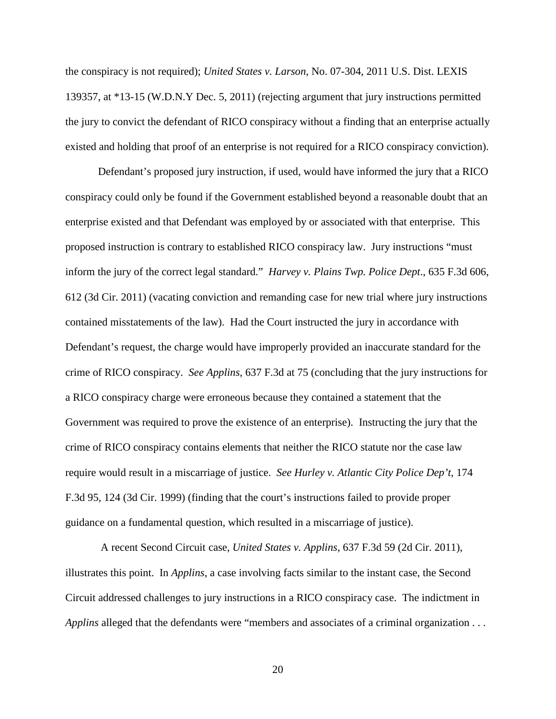the conspiracy is not required); *United States v. Larson*, No. 07-304, 2011 U.S. Dist. LEXIS 139357, at \*13-15 (W.D.N.Y Dec. 5, 2011) (rejecting argument that jury instructions permitted the jury to convict the defendant of RICO conspiracy without a finding that an enterprise actually existed and holding that proof of an enterprise is not required for a RICO conspiracy conviction).

Defendant's proposed jury instruction, if used, would have informed the jury that a RICO conspiracy could only be found if the Government established beyond a reasonable doubt that an enterprise existed and that Defendant was employed by or associated with that enterprise. This proposed instruction is contrary to established RICO conspiracy law. Jury instructions "must inform the jury of the correct legal standard." *Harvey v. Plains Twp. Police Dept*., 635 F.3d 606, 612 (3d Cir. 2011) (vacating conviction and remanding case for new trial where jury instructions contained misstatements of the law). Had the Court instructed the jury in accordance with Defendant's request, the charge would have improperly provided an inaccurate standard for the crime of RICO conspiracy. *See Applins*, 637 F.3d at 75 (concluding that the jury instructions for a RICO conspiracy charge were erroneous because they contained a statement that the Government was required to prove the existence of an enterprise). Instructing the jury that the crime of RICO conspiracy contains elements that neither the RICO statute nor the case law require would result in a miscarriage of justice. *See Hurley v. Atlantic City Police Dep't*, 174 F.3d 95, 124 (3d Cir. 1999) (finding that the court's instructions failed to provide proper guidance on a fundamental question, which resulted in a miscarriage of justice).

A recent Second Circuit case, *United States v. Applins*, 637 F.3d 59 (2d Cir. 2011), illustrates this point. In *Applins*, a case involving facts similar to the instant case, the Second Circuit addressed challenges to jury instructions in a RICO conspiracy case. The indictment in *Applins* alleged that the defendants were "members and associates of a criminal organization . . .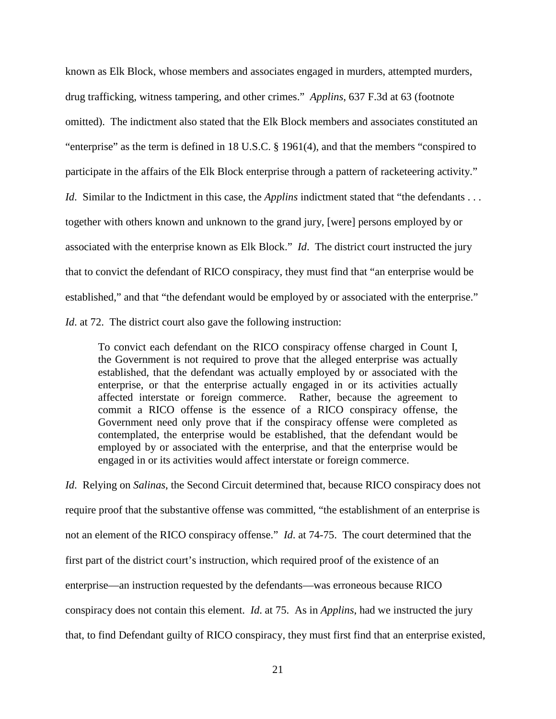known as Elk Block, whose members and associates engaged in murders, attempted murders, drug trafficking, witness tampering, and other crimes." *Applins*, 637 F.3d at 63 (footnote omitted). The indictment also stated that the Elk Block members and associates constituted an "enterprise" as the term is defined in 18 U.S.C. § 1961(4), and that the members "conspired to participate in the affairs of the Elk Block enterprise through a pattern of racketeering activity." *Id.* Similar to the Indictment in this case, the *Applins* indictment stated that "the defendants . . . together with others known and unknown to the grand jury, [were] persons employed by or associated with the enterprise known as Elk Block." *Id*. The district court instructed the jury that to convict the defendant of RICO conspiracy, they must find that "an enterprise would be established," and that "the defendant would be employed by or associated with the enterprise." *Id.* at 72. The district court also gave the following instruction:

To convict each defendant on the RICO conspiracy offense charged in Count I, the Government is not required to prove that the alleged enterprise was actually established, that the defendant was actually employed by or associated with the enterprise, or that the enterprise actually engaged in or its activities actually affected interstate or foreign commerce. Rather, because the agreement to commit a RICO offense is the essence of a RICO conspiracy offense, the Government need only prove that if the conspiracy offense were completed as contemplated, the enterprise would be established, that the defendant would be employed by or associated with the enterprise, and that the enterprise would be engaged in or its activities would affect interstate or foreign commerce.

*Id*. Relying on *Salinas*, the Second Circuit determined that, because RICO conspiracy does not require proof that the substantive offense was committed, "the establishment of an enterprise is not an element of the RICO conspiracy offense." *Id*. at 74-75. The court determined that the first part of the district court's instruction, which required proof of the existence of an enterprise—an instruction requested by the defendants—was erroneous because RICO conspiracy does not contain this element. *Id*. at 75. As in *Applins*, had we instructed the jury that, to find Defendant guilty of RICO conspiracy, they must first find that an enterprise existed,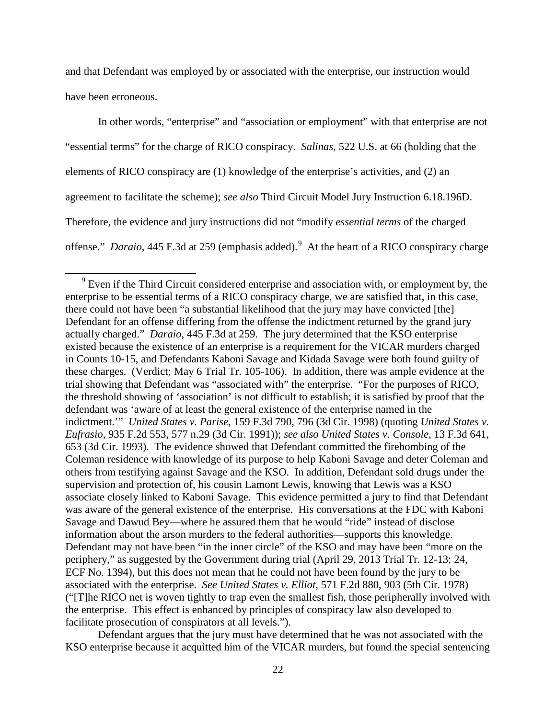and that Defendant was employed by or associated with the enterprise, our instruction would have been erroneous.

In other words, "enterprise" and "association or employment" with that enterprise are not "essential terms" for the charge of RICO conspiracy. *Salinas*, 522 U.S. at 66 (holding that the elements of RICO conspiracy are (1) knowledge of the enterprise's activities, and (2) an agreement to facilitate the scheme); *see also* Third Circuit Model Jury Instruction 6.18.196D. Therefore, the evidence and jury instructions did not "modify *essential terms* of the charged offense." *Daraio*, 445 F.3d at 25[9](#page-21-0) (emphasis added).<sup>9</sup> At the heart of a RICO conspiracy charge

 $\overline{a}$ 

Defendant argues that the jury must have determined that he was not associated with the KSO enterprise because it acquitted him of the VICAR murders, but found the special sentencing

<span id="page-21-0"></span> $9$  Even if the Third Circuit considered enterprise and association with, or employment by, the enterprise to be essential terms of a RICO conspiracy charge, we are satisfied that, in this case, there could not have been "a substantial likelihood that the jury may have convicted [the] Defendant for an offense differing from the offense the indictment returned by the grand jury actually charged." *Daraio*, 445 F.3d at 259. The jury determined that the KSO enterprise existed because the existence of an enterprise is a requirement for the VICAR murders charged in Counts 10-15, and Defendants Kaboni Savage and Kidada Savage were both found guilty of these charges. (Verdict; May 6 Trial Tr. 105-106). In addition, there was ample evidence at the trial showing that Defendant was "associated with" the enterprise. "For the purposes of RICO, the threshold showing of 'association' is not difficult to establish; it is satisfied by proof that the defendant was 'aware of at least the general existence of the enterprise named in the indictment.'" *United States v. Parise*, 159 F.3d 790, 796 (3d Cir. 1998) (quoting *United States v. Eufrasio*, 935 F.2d 553, 577 n.29 (3d Cir. 1991)); *see also United States v. Console*, 13 F.3d 641, 653 (3d Cir. 1993). The evidence showed that Defendant committed the firebombing of the Coleman residence with knowledge of its purpose to help Kaboni Savage and deter Coleman and others from testifying against Savage and the KSO. In addition, Defendant sold drugs under the supervision and protection of, his cousin Lamont Lewis, knowing that Lewis was a KSO associate closely linked to Kaboni Savage. This evidence permitted a jury to find that Defendant was aware of the general existence of the enterprise. His conversations at the FDC with Kaboni Savage and Dawud Bey—where he assured them that he would "ride" instead of disclose information about the arson murders to the federal authorities—supports this knowledge. Defendant may not have been "in the inner circle" of the KSO and may have been "more on the periphery," as suggested by the Government during trial (April 29, 2013 Trial Tr. 12-13; 24, ECF No. 1394), but this does not mean that he could not have been found by the jury to be associated with the enterprise. *See United States v. Elliot*, 571 F.2d 880, 903 (5th Cir. 1978) ("[T]he RICO net is woven tightly to trap even the smallest fish, those peripherally involved with the enterprise. This effect is enhanced by principles of conspiracy law also developed to facilitate prosecution of conspirators at all levels.").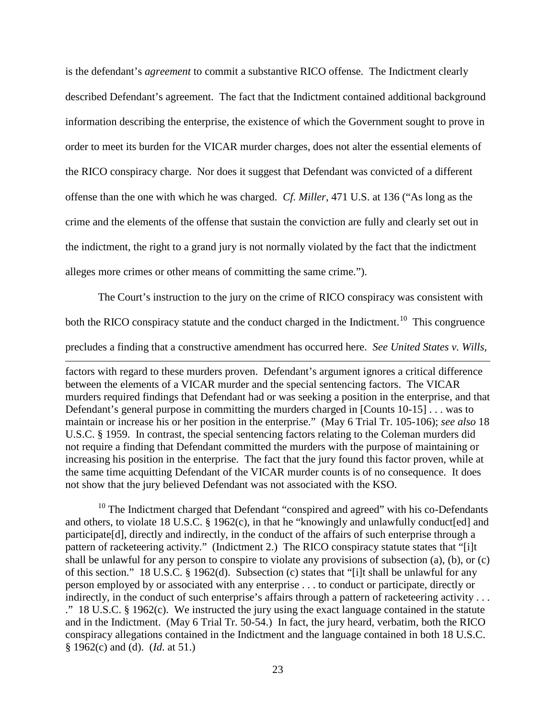is the defendant's *agreement* to commit a substantive RICO offense. The Indictment clearly described Defendant's agreement. The fact that the Indictment contained additional background information describing the enterprise, the existence of which the Government sought to prove in order to meet its burden for the VICAR murder charges, does not alter the essential elements of the RICO conspiracy charge. Nor does it suggest that Defendant was convicted of a different offense than the one with which he was charged. *Cf. Miller*, 471 U.S. at 136 ("As long as the crime and the elements of the offense that sustain the conviction are fully and clearly set out in the indictment, the right to a grand jury is not normally violated by the fact that the indictment alleges more crimes or other means of committing the same crime.").

The Court's instruction to the jury on the crime of RICO conspiracy was consistent with both the RICO conspiracy statute and the conduct charged in the Indictment.<sup>10</sup> This congruence

precludes a finding that a constructive amendment has occurred here. *See United States v. Wills*,

 $\overline{a}$ 

factors with regard to these murders proven. Defendant's argument ignores a critical difference between the elements of a VICAR murder and the special sentencing factors. The VICAR murders required findings that Defendant had or was seeking a position in the enterprise, and that Defendant's general purpose in committing the murders charged in [Counts 10-15] . . . was to maintain or increase his or her position in the enterprise." (May 6 Trial Tr. 105-106); *see also* 18 U.S.C. § 1959. In contrast, the special sentencing factors relating to the Coleman murders did not require a finding that Defendant committed the murders with the purpose of maintaining or increasing his position in the enterprise. The fact that the jury found this factor proven, while at the same time acquitting Defendant of the VICAR murder counts is of no consequence. It does not show that the jury believed Defendant was not associated with the KSO.

<span id="page-22-0"></span> $10$  The Indictment charged that Defendant "conspired and agreed" with his co-Defendants and others, to violate 18 U.S.C. § 1962(c), in that he "knowingly and unlawfully conduct[ed] and participate[d], directly and indirectly, in the conduct of the affairs of such enterprise through a pattern of racketeering activity." (Indictment 2.) The RICO conspiracy statute states that "[i]t shall be unlawful for any person to conspire to violate any provisions of subsection (a), (b), or (c) of this section." 18 U.S.C. § 1962(d). Subsection (c) states that "[i]t shall be unlawful for any person employed by or associated with any enterprise . . . to conduct or participate, directly or indirectly, in the conduct of such enterprise's affairs through a pattern of racketeering activity . . . ." 18 U.S.C. § 1962(c). We instructed the jury using the exact language contained in the statute and in the Indictment. (May 6 Trial Tr. 50-54.) In fact, the jury heard, verbatim, both the RICO conspiracy allegations contained in the Indictment and the language contained in both 18 U.S.C. § 1962(c) and (d). (*Id*. at 51.)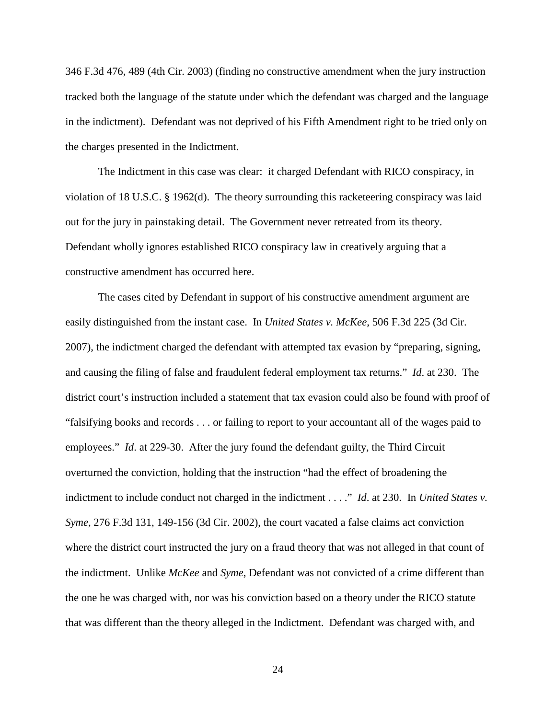346 F.3d 476, 489 (4th Cir. 2003) (finding no constructive amendment when the jury instruction tracked both the language of the statute under which the defendant was charged and the language in the indictment). Defendant was not deprived of his Fifth Amendment right to be tried only on the charges presented in the Indictment.

The Indictment in this case was clear: it charged Defendant with RICO conspiracy, in violation of 18 U.S.C. § 1962(d). The theory surrounding this racketeering conspiracy was laid out for the jury in painstaking detail. The Government never retreated from its theory. Defendant wholly ignores established RICO conspiracy law in creatively arguing that a constructive amendment has occurred here.

The cases cited by Defendant in support of his constructive amendment argument are easily distinguished from the instant case. In *United States v. McKee*, 506 F.3d 225 (3d Cir. 2007), the indictment charged the defendant with attempted tax evasion by "preparing, signing, and causing the filing of false and fraudulent federal employment tax returns." *Id*. at 230. The district court's instruction included a statement that tax evasion could also be found with proof of "falsifying books and records . . . or failing to report to your accountant all of the wages paid to employees." *Id.* at 229-30. After the jury found the defendant guilty, the Third Circuit overturned the conviction, holding that the instruction "had the effect of broadening the indictment to include conduct not charged in the indictment . . . ." *Id*. at 230. In *United States v. Syme*, 276 F.3d 131, 149-156 (3d Cir. 2002), the court vacated a false claims act conviction where the district court instructed the jury on a fraud theory that was not alleged in that count of the indictment. Unlike *McKee* and *Syme*, Defendant was not convicted of a crime different than the one he was charged with, nor was his conviction based on a theory under the RICO statute that was different than the theory alleged in the Indictment. Defendant was charged with, and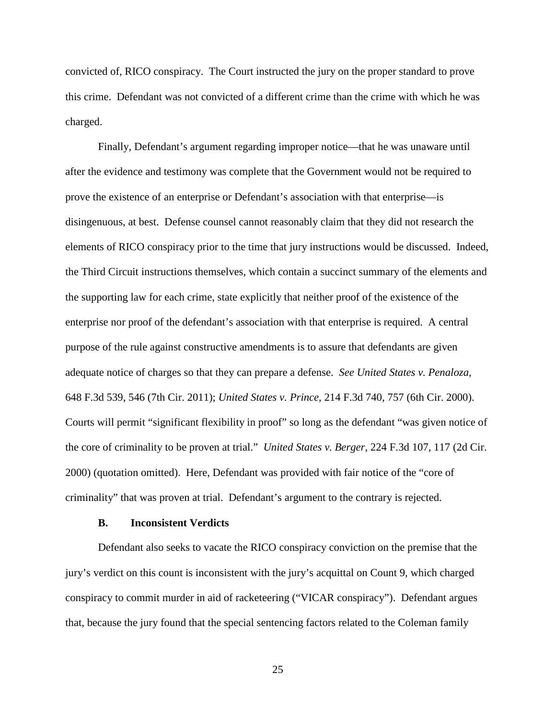convicted of, RICO conspiracy. The Court instructed the jury on the proper standard to prove this crime. Defendant was not convicted of a different crime than the crime with which he was charged.

Finally, Defendant's argument regarding improper notice—that he was unaware until after the evidence and testimony was complete that the Government would not be required to prove the existence of an enterprise or Defendant's association with that enterprise—is disingenuous, at best. Defense counsel cannot reasonably claim that they did not research the elements of RICO conspiracy prior to the time that jury instructions would be discussed. Indeed, the Third Circuit instructions themselves, which contain a succinct summary of the elements and the supporting law for each crime, state explicitly that neither proof of the existence of the enterprise nor proof of the defendant's association with that enterprise is required. A central purpose of the rule against constructive amendments is to assure that defendants are given adequate notice of charges so that they can prepare a defense. *See United States v. Penaloza*, 648 F.3d 539, 546 (7th Cir. 2011); *United States v. Prince*, 214 F.3d 740, 757 (6th Cir. 2000). Courts will permit "significant flexibility in proof" so long as the defendant "was given notice of the core of criminality to be proven at trial." *United States v. Berger*, 224 F.3d 107, 117 (2d Cir. 2000) (quotation omitted). Here, Defendant was provided with fair notice of the "core of criminality" that was proven at trial. Defendant's argument to the contrary is rejected.

#### **B. Inconsistent Verdicts**

Defendant also seeks to vacate the RICO conspiracy conviction on the premise that the jury's verdict on this count is inconsistent with the jury's acquittal on Count 9, which charged conspiracy to commit murder in aid of racketeering ("VICAR conspiracy"). Defendant argues that, because the jury found that the special sentencing factors related to the Coleman family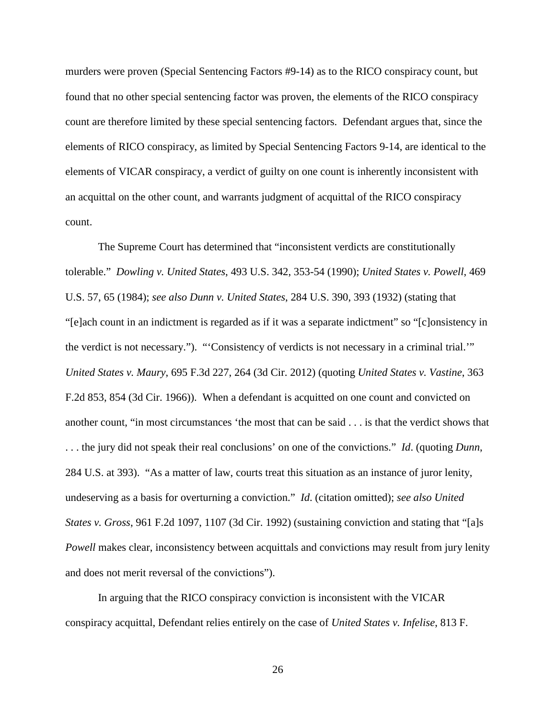murders were proven (Special Sentencing Factors #9-14) as to the RICO conspiracy count, but found that no other special sentencing factor was proven, the elements of the RICO conspiracy count are therefore limited by these special sentencing factors. Defendant argues that, since the elements of RICO conspiracy, as limited by Special Sentencing Factors 9-14, are identical to the elements of VICAR conspiracy, a verdict of guilty on one count is inherently inconsistent with an acquittal on the other count, and warrants judgment of acquittal of the RICO conspiracy count.

The Supreme Court has determined that "inconsistent verdicts are constitutionally tolerable." *Dowling v. United States*, 493 U.S. 342, 353-54 (1990); *United States v. Powell*, 469 U.S. 57, 65 (1984); *see also Dunn v. United States*, 284 U.S. 390, 393 (1932) (stating that "[e]ach count in an indictment is regarded as if it was a separate indictment" so "[c]onsistency in the verdict is not necessary."). "'Consistency of verdicts is not necessary in a criminal trial.'" *United States v. Maury*, 695 F.3d 227, 264 (3d Cir. 2012) (quoting *United States v. Vastine*, 363 F.2d 853, 854 (3d Cir. 1966)). When a defendant is acquitted on one count and convicted on another count, "in most circumstances 'the most that can be said . . . is that the verdict shows that . . . the jury did not speak their real conclusions' on one of the convictions." *Id*. (quoting *Dunn*, 284 U.S. at 393). "As a matter of law, courts treat this situation as an instance of juror lenity, undeserving as a basis for overturning a conviction." *Id*. (citation omitted); *see also United States v. Gross*, 961 F.2d 1097, 1107 (3d Cir. 1992) (sustaining conviction and stating that "[a]s *Powell* makes clear, inconsistency between acquittals and convictions may result from jury lenity and does not merit reversal of the convictions").

In arguing that the RICO conspiracy conviction is inconsistent with the VICAR conspiracy acquittal, Defendant relies entirely on the case of *United States v. Infelise*, 813 F.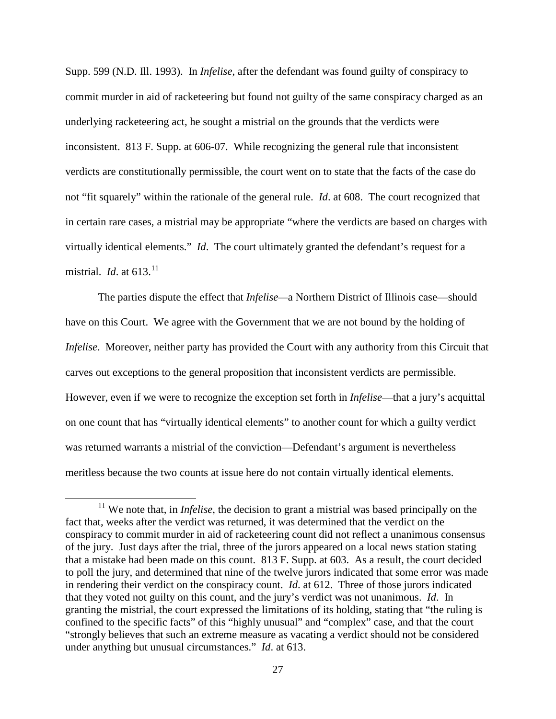Supp. 599 (N.D. Ill. 1993). In *Infelise*, after the defendant was found guilty of conspiracy to commit murder in aid of racketeering but found not guilty of the same conspiracy charged as an underlying racketeering act, he sought a mistrial on the grounds that the verdicts were inconsistent. 813 F. Supp. at 606-07. While recognizing the general rule that inconsistent verdicts are constitutionally permissible, the court went on to state that the facts of the case do not "fit squarely" within the rationale of the general rule. *Id*. at 608. The court recognized that in certain rare cases, a mistrial may be appropriate "where the verdicts are based on charges with virtually identical elements." *Id*. The court ultimately granted the defendant's request for a mistrial. *Id.* at  $613$ <sup>11</sup>

The parties dispute the effect that *Infelise—*a Northern District of Illinois case—should have on this Court. We agree with the Government that we are not bound by the holding of *Infelise.* Moreover, neither party has provided the Court with any authority from this Circuit that carves out exceptions to the general proposition that inconsistent verdicts are permissible. However, even if we were to recognize the exception set forth in *Infelise*—that a jury's acquittal on one count that has "virtually identical elements" to another count for which a guilty verdict was returned warrants a mistrial of the conviction—Defendant's argument is nevertheless meritless because the two counts at issue here do not contain virtually identical elements.

 $\overline{a}$ 

<span id="page-26-0"></span><sup>&</sup>lt;sup>11</sup> We note that, in *Infelise*, the decision to grant a mistrial was based principally on the fact that, weeks after the verdict was returned, it was determined that the verdict on the conspiracy to commit murder in aid of racketeering count did not reflect a unanimous consensus of the jury. Just days after the trial, three of the jurors appeared on a local news station stating that a mistake had been made on this count. 813 F. Supp. at 603. As a result, the court decided to poll the jury, and determined that nine of the twelve jurors indicated that some error was made in rendering their verdict on the conspiracy count. *Id*. at 612. Three of those jurors indicated that they voted not guilty on this count, and the jury's verdict was not unanimous. *Id*. In granting the mistrial, the court expressed the limitations of its holding, stating that "the ruling is confined to the specific facts" of this "highly unusual" and "complex" case, and that the court "strongly believes that such an extreme measure as vacating a verdict should not be considered under anything but unusual circumstances." *Id*. at 613.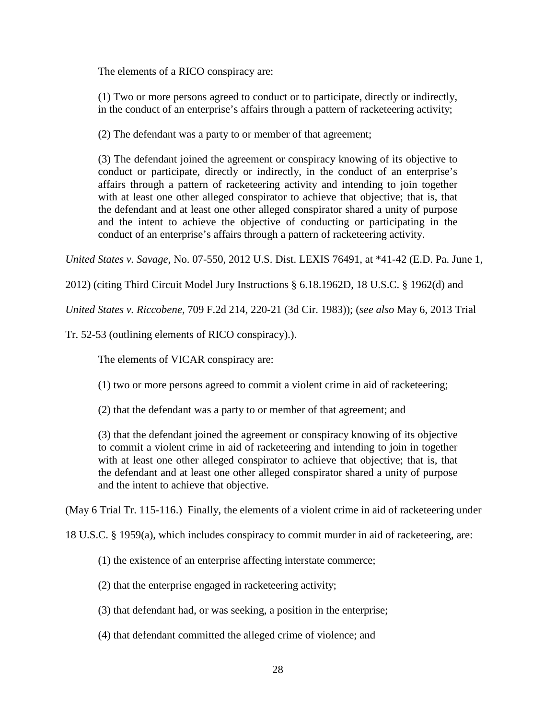The elements of a RICO conspiracy are:

(1) Two or more persons agreed to conduct or to participate, directly or indirectly, in the conduct of an enterprise's affairs through a pattern of racketeering activity;

(2) The defendant was a party to or member of that agreement;

(3) The defendant joined the agreement or conspiracy knowing of its objective to conduct or participate, directly or indirectly, in the conduct of an enterprise's affairs through a pattern of racketeering activity and intending to join together with at least one other alleged conspirator to achieve that objective; that is, that the defendant and at least one other alleged conspirator shared a unity of purpose and the intent to achieve the objective of conducting or participating in the conduct of an enterprise's affairs through a pattern of racketeering activity.

*United States v. Savage*, No. 07-550, 2012 U.S. Dist. LEXIS 76491, at \*41-42 (E.D. Pa. June 1,

2012) (citing Third Circuit Model Jury Instructions § 6.18.1962D, 18 U.S.C. § 1962(d) and

*United States v. Riccobene,* 709 F.2d 214, 220-21 (3d Cir. 1983)); (*see also* May 6, 2013 Trial

Tr. 52-53 (outlining elements of RICO conspiracy).).

The elements of VICAR conspiracy are:

(1) two or more persons agreed to commit a violent crime in aid of racketeering;

(2) that the defendant was a party to or member of that agreement; and

(3) that the defendant joined the agreement or conspiracy knowing of its objective to commit a violent crime in aid of racketeering and intending to join in together with at least one other alleged conspirator to achieve that objective; that is, that the defendant and at least one other alleged conspirator shared a unity of purpose and the intent to achieve that objective.

(May 6 Trial Tr. 115-116.) Finally, the elements of a violent crime in aid of racketeering under

18 U.S.C. § 1959(a), which includes conspiracy to commit murder in aid of racketeering, are:

(1) the existence of an enterprise affecting interstate commerce;

(2) that the enterprise engaged in racketeering activity;

(3) that defendant had, or was seeking, a position in the enterprise;

(4) that defendant committed the alleged crime of violence; and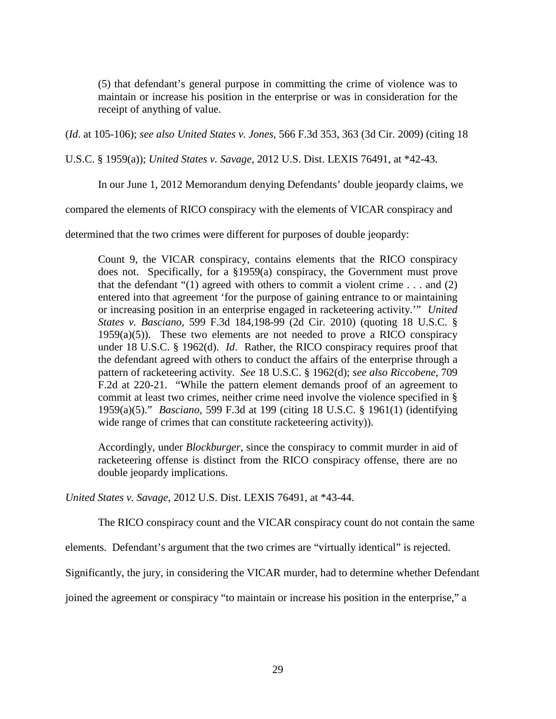(5) that defendant's general purpose in committing the crime of violence was to maintain or increase his position in the enterprise or was in consideration for the receipt of anything of value.

(*Id*. at 105-106); *see also United States v. Jones*, 566 F.3d 353, 363 (3d Cir. 2009) (citing 18

U.S.C. § 1959(a)); *United States v. Savage*, 2012 U.S. Dist. LEXIS 76491, at \*42-43.

In our June 1, 2012 Memorandum denying Defendants' double jeopardy claims, we

compared the elements of RICO conspiracy with the elements of VICAR conspiracy and

determined that the two crimes were different for purposes of double jeopardy:

Count 9, the VICAR conspiracy, contains elements that the RICO conspiracy does not. Specifically, for a §1959(a) conspiracy, the Government must prove that the defendant " $(1)$  agreed with others to commit a violent crime . . . and  $(2)$ entered into that agreement 'for the purpose of gaining entrance to or maintaining or increasing position in an enterprise engaged in racketeering activity.'" *United States v. Basciano*, 599 F.3d 184,198-99 (2d Cir. 2010) (quoting 18 U.S.C. §  $1959(a)(5)$ ). These two elements are not needed to prove a RICO conspiracy under 18 U.S.C. § 1962(d). *Id*. Rather, the RICO conspiracy requires proof that the defendant agreed with others to conduct the affairs of the enterprise through a pattern of racketeering activity. *See* 18 U.S.C. § 1962(d); *see also Riccobene*, 709 F.2d at 220-21. "While the pattern element demands proof of an agreement to commit at least two crimes, neither crime need involve the violence specified in § 1959(a)(5)." *Basciano*, 599 F.3d at 199 (citing 18 U.S.C. § 1961(1) (identifying wide range of crimes that can constitute racketeering activity)).

Accordingly, under *Blockburger*, since the conspiracy to commit murder in aid of racketeering offense is distinct from the RICO conspiracy offense, there are no double jeopardy implications.

*United States v. Savage*, 2012 U.S. Dist. LEXIS 76491, at \*43-44.

The RICO conspiracy count and the VICAR conspiracy count do not contain the same

elements. Defendant's argument that the two crimes are "virtually identical" is rejected.

Significantly, the jury, in considering the VICAR murder, had to determine whether Defendant

joined the agreement or conspiracy "to maintain or increase his position in the enterprise," a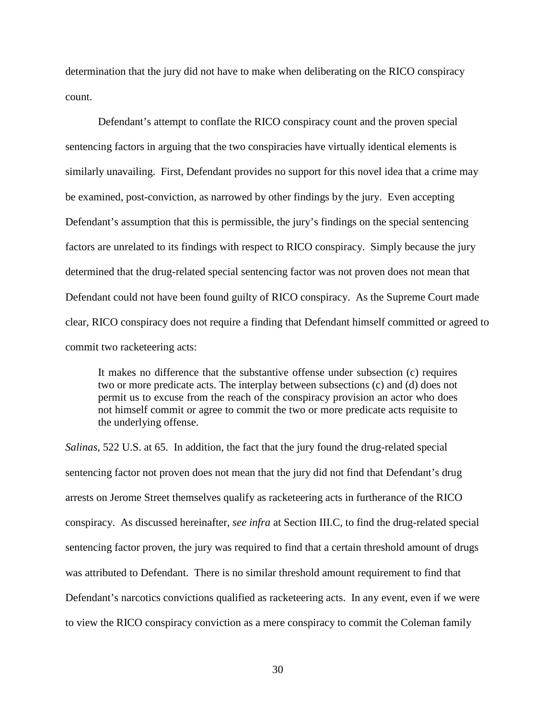determination that the jury did not have to make when deliberating on the RICO conspiracy count.

Defendant's attempt to conflate the RICO conspiracy count and the proven special sentencing factors in arguing that the two conspiracies have virtually identical elements is similarly unavailing. First, Defendant provides no support for this novel idea that a crime may be examined, post-conviction, as narrowed by other findings by the jury. Even accepting Defendant's assumption that this is permissible, the jury's findings on the special sentencing factors are unrelated to its findings with respect to RICO conspiracy. Simply because the jury determined that the drug-related special sentencing factor was not proven does not mean that Defendant could not have been found guilty of RICO conspiracy. As the Supreme Court made clear, RICO conspiracy does not require a finding that Defendant himself committed or agreed to commit two racketeering acts:

It makes no difference that the substantive offense under subsection (c) requires two or more predicate acts. The interplay between subsections (c) and (d) does not permit us to excuse from the reach of the conspiracy provision an actor who does not himself commit or agree to commit the two or more predicate acts requisite to the underlying offense.

*Salinas*, 522 U.S. at 65. In addition, the fact that the jury found the drug-related special sentencing factor not proven does not mean that the jury did not find that Defendant's drug arrests on Jerome Street themselves qualify as racketeering acts in furtherance of the RICO conspiracy. As discussed hereinafter, *see infra* at Section III.C, to find the drug-related special sentencing factor proven, the jury was required to find that a certain threshold amount of drugs was attributed to Defendant. There is no similar threshold amount requirement to find that Defendant's narcotics convictions qualified as racketeering acts. In any event, even if we were to view the RICO conspiracy conviction as a mere conspiracy to commit the Coleman family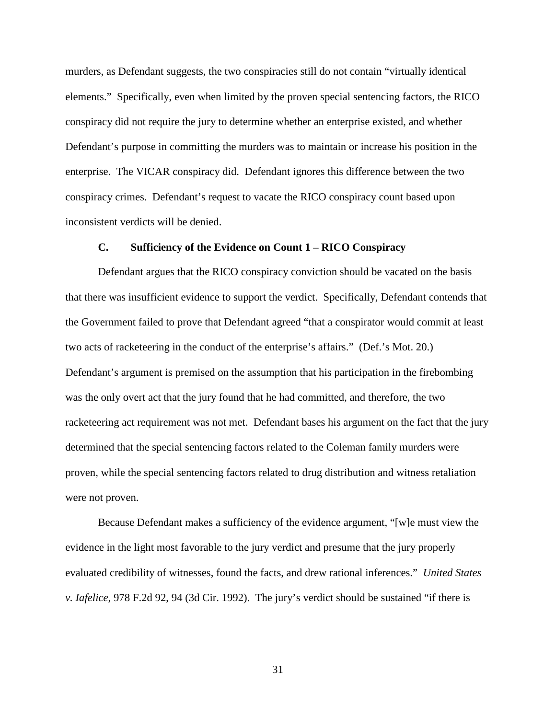murders, as Defendant suggests, the two conspiracies still do not contain "virtually identical elements." Specifically, even when limited by the proven special sentencing factors, the RICO conspiracy did not require the jury to determine whether an enterprise existed, and whether Defendant's purpose in committing the murders was to maintain or increase his position in the enterprise. The VICAR conspiracy did. Defendant ignores this difference between the two conspiracy crimes. Defendant's request to vacate the RICO conspiracy count based upon inconsistent verdicts will be denied.

## **C. Sufficiency of the Evidence on Count 1 – RICO Conspiracy**

Defendant argues that the RICO conspiracy conviction should be vacated on the basis that there was insufficient evidence to support the verdict. Specifically, Defendant contends that the Government failed to prove that Defendant agreed "that a conspirator would commit at least two acts of racketeering in the conduct of the enterprise's affairs." (Def.'s Mot. 20.) Defendant's argument is premised on the assumption that his participation in the firebombing was the only overt act that the jury found that he had committed, and therefore, the two racketeering act requirement was not met. Defendant bases his argument on the fact that the jury determined that the special sentencing factors related to the Coleman family murders were proven, while the special sentencing factors related to drug distribution and witness retaliation were not proven.

Because Defendant makes a sufficiency of the evidence argument, "[w]e must view the evidence in the light most favorable to the jury verdict and presume that the jury properly evaluated credibility of witnesses, found the facts, and drew rational inferences." *United States v. Iafelice*, 978 F.2d 92, 94 (3d Cir. 1992). The jury's verdict should be sustained "if there is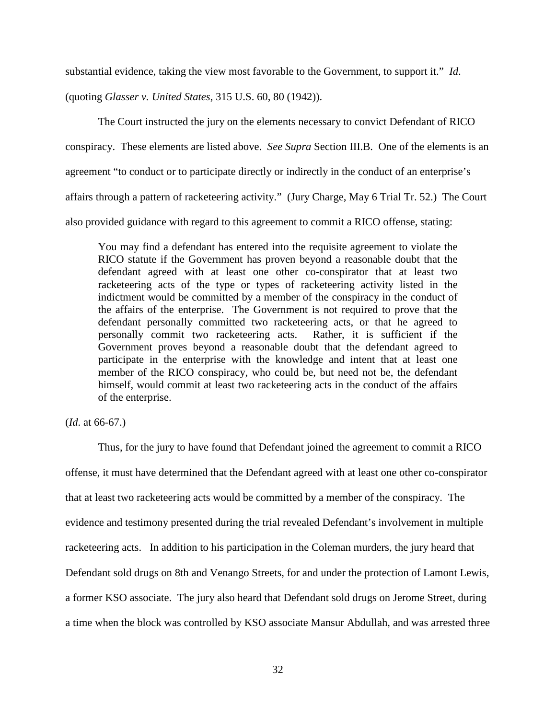substantial evidence, taking the view most favorable to the Government, to support it." *Id*.

(quoting *Glasser v. United States*, 315 U.S. 60, 80 (1942)).

The Court instructed the jury on the elements necessary to convict Defendant of RICO conspiracy. These elements are listed above. *See Supra* Section III.B. One of the elements is an agreement "to conduct or to participate directly or indirectly in the conduct of an enterprise's affairs through a pattern of racketeering activity." (Jury Charge, May 6 Trial Tr. 52.) The Court also provided guidance with regard to this agreement to commit a RICO offense, stating:

You may find a defendant has entered into the requisite agreement to violate the RICO statute if the Government has proven beyond a reasonable doubt that the defendant agreed with at least one other co-conspirator that at least two racketeering acts of the type or types of racketeering activity listed in the indictment would be committed by a member of the conspiracy in the conduct of the affairs of the enterprise. The Government is not required to prove that the defendant personally committed two racketeering acts, or that he agreed to personally commit two racketeering acts. Rather, it is sufficient if the Government proves beyond a reasonable doubt that the defendant agreed to participate in the enterprise with the knowledge and intent that at least one member of the RICO conspiracy, who could be, but need not be, the defendant himself, would commit at least two racketeering acts in the conduct of the affairs of the enterprise.

(*Id*. at 66-67.)

Thus, for the jury to have found that Defendant joined the agreement to commit a RICO offense, it must have determined that the Defendant agreed with at least one other co-conspirator that at least two racketeering acts would be committed by a member of the conspiracy. The evidence and testimony presented during the trial revealed Defendant's involvement in multiple racketeering acts. In addition to his participation in the Coleman murders, the jury heard that Defendant sold drugs on 8th and Venango Streets, for and under the protection of Lamont Lewis, a former KSO associate. The jury also heard that Defendant sold drugs on Jerome Street, during a time when the block was controlled by KSO associate Mansur Abdullah, and was arrested three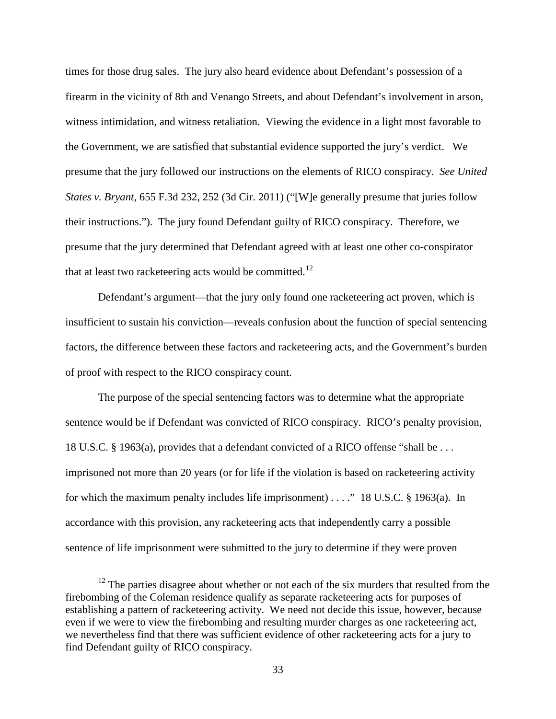times for those drug sales. The jury also heard evidence about Defendant's possession of a firearm in the vicinity of 8th and Venango Streets, and about Defendant's involvement in arson, witness intimidation, and witness retaliation. Viewing the evidence in a light most favorable to the Government, we are satisfied that substantial evidence supported the jury's verdict. We presume that the jury followed our instructions on the elements of RICO conspiracy. *See United States v. Bryant*, 655 F.3d 232, 252 (3d Cir. 2011) ("[W]e generally presume that juries follow their instructions."). The jury found Defendant guilty of RICO conspiracy. Therefore, we presume that the jury determined that Defendant agreed with at least one other co-conspirator that at least two racketeering acts would be committed.<sup>12</sup>

Defendant's argument—that the jury only found one racketeering act proven, which is insufficient to sustain his conviction—reveals confusion about the function of special sentencing factors, the difference between these factors and racketeering acts, and the Government's burden of proof with respect to the RICO conspiracy count.

The purpose of the special sentencing factors was to determine what the appropriate sentence would be if Defendant was convicted of RICO conspiracy. RICO's penalty provision, 18 U.S.C. § 1963(a), provides that a defendant convicted of a RICO offense "shall be . . . imprisoned not more than 20 years (or for life if the violation is based on racketeering activity for which the maximum penalty includes life imprisonment) . . . ." 18 U.S.C. § 1963(a). In accordance with this provision, any racketeering acts that independently carry a possible sentence of life imprisonment were submitted to the jury to determine if they were proven

 $\overline{a}$ 

<span id="page-32-0"></span> $12$  The parties disagree about whether or not each of the six murders that resulted from the firebombing of the Coleman residence qualify as separate racketeering acts for purposes of establishing a pattern of racketeering activity. We need not decide this issue, however, because even if we were to view the firebombing and resulting murder charges as one racketeering act, we nevertheless find that there was sufficient evidence of other racketeering acts for a jury to find Defendant guilty of RICO conspiracy.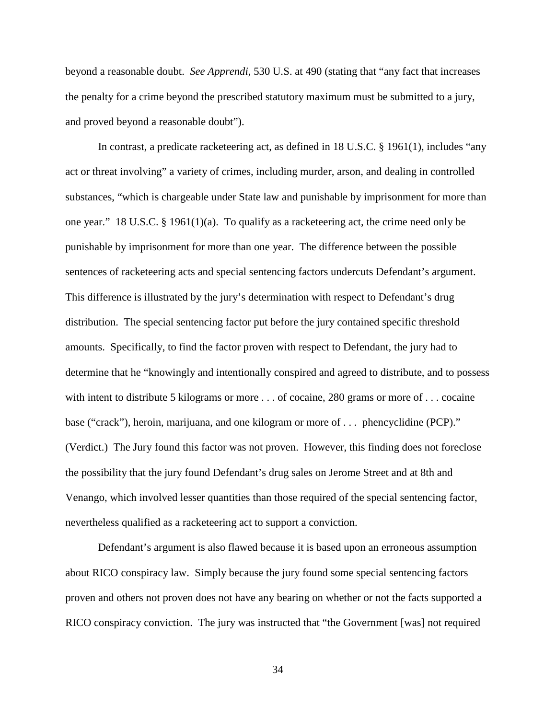beyond a reasonable doubt. *See Apprendi*, 530 U.S. at 490 (stating that "any fact that increases the penalty for a crime beyond the prescribed statutory maximum must be submitted to a jury, and proved beyond a reasonable doubt").

In contrast, a predicate racketeering act, as defined in 18 U.S.C. § 1961(1), includes "any act or threat involving" a variety of crimes, including murder, arson, and dealing in controlled substances, "which is chargeable under State law and punishable by imprisonment for more than one year." 18 U.S.C. § 1961(1)(a). To qualify as a racketeering act, the crime need only be punishable by imprisonment for more than one year. The difference between the possible sentences of racketeering acts and special sentencing factors undercuts Defendant's argument. This difference is illustrated by the jury's determination with respect to Defendant's drug distribution. The special sentencing factor put before the jury contained specific threshold amounts. Specifically, to find the factor proven with respect to Defendant, the jury had to determine that he "knowingly and intentionally conspired and agreed to distribute, and to possess with intent to distribute 5 kilograms or more . . . of cocaine, 280 grams or more of . . . cocaine base ("crack"), heroin, marijuana, and one kilogram or more of . . . phencyclidine (PCP)." (Verdict.) The Jury found this factor was not proven. However, this finding does not foreclose the possibility that the jury found Defendant's drug sales on Jerome Street and at 8th and Venango, which involved lesser quantities than those required of the special sentencing factor, nevertheless qualified as a racketeering act to support a conviction.

Defendant's argument is also flawed because it is based upon an erroneous assumption about RICO conspiracy law. Simply because the jury found some special sentencing factors proven and others not proven does not have any bearing on whether or not the facts supported a RICO conspiracy conviction. The jury was instructed that "the Government [was] not required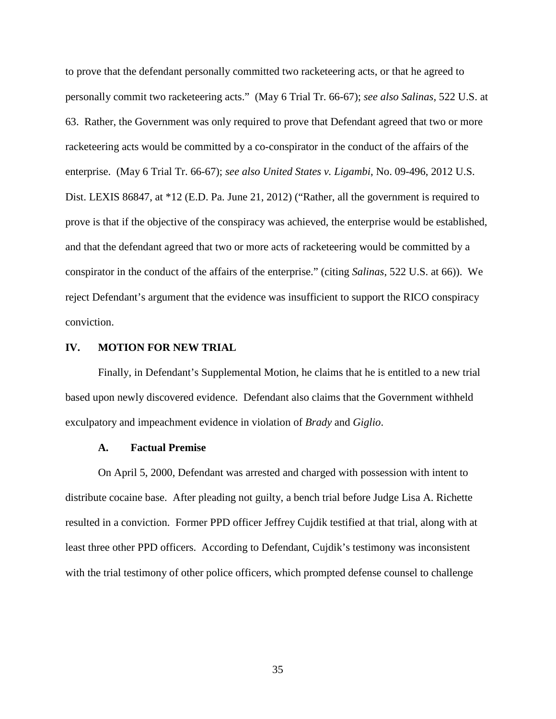to prove that the defendant personally committed two racketeering acts, or that he agreed to personally commit two racketeering acts." (May 6 Trial Tr. 66-67); *see also Salinas*, 522 U.S. at 63. Rather, the Government was only required to prove that Defendant agreed that two or more racketeering acts would be committed by a co-conspirator in the conduct of the affairs of the enterprise. (May 6 Trial Tr. 66-67); *see also United States v. Ligambi*, No. 09-496, 2012 U.S. Dist. LEXIS 86847, at \*12 (E.D. Pa. June 21, 2012) ("Rather, all the government is required to prove is that if the objective of the conspiracy was achieved, the enterprise would be established, and that the defendant agreed that two or more acts of racketeering would be committed by a conspirator in the conduct of the affairs of the enterprise." (citing *Salinas*, 522 U.S. at 66)). We reject Defendant's argument that the evidence was insufficient to support the RICO conspiracy conviction.

#### **IV. MOTION FOR NEW TRIAL**

Finally, in Defendant's Supplemental Motion, he claims that he is entitled to a new trial based upon newly discovered evidence. Defendant also claims that the Government withheld exculpatory and impeachment evidence in violation of *Brady* and *Giglio*.

## **A. Factual Premise**

On April 5, 2000, Defendant was arrested and charged with possession with intent to distribute cocaine base. After pleading not guilty, a bench trial before Judge Lisa A. Richette resulted in a conviction. Former PPD officer Jeffrey Cujdik testified at that trial, along with at least three other PPD officers. According to Defendant, Cujdik's testimony was inconsistent with the trial testimony of other police officers, which prompted defense counsel to challenge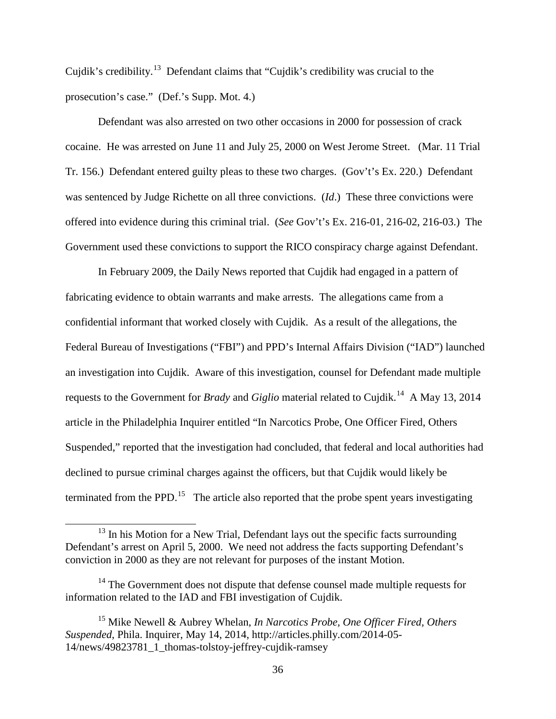Cujdik's credibility.[13](#page-35-0) Defendant claims that "Cujdik's credibility was crucial to the prosecution's case." (Def.'s Supp. Mot. 4.)

Defendant was also arrested on two other occasions in 2000 for possession of crack cocaine. He was arrested on June 11 and July 25, 2000 on West Jerome Street. (Mar. 11 Trial Tr. 156.) Defendant entered guilty pleas to these two charges. (Gov't's Ex. 220.) Defendant was sentenced by Judge Richette on all three convictions. (*Id*.) These three convictions were offered into evidence during this criminal trial. (*See* Gov't's Ex. 216-01, 216-02, 216-03.) The Government used these convictions to support the RICO conspiracy charge against Defendant.

In February 2009, the Daily News reported that Cujdik had engaged in a pattern of fabricating evidence to obtain warrants and make arrests. The allegations came from a confidential informant that worked closely with Cujdik. As a result of the allegations, the Federal Bureau of Investigations ("FBI") and PPD's Internal Affairs Division ("IAD") launched an investigation into Cujdik. Aware of this investigation, counsel for Defendant made multiple requests to the Government for *Brady* and *Giglio* material related to Cujdik.<sup>[14](#page-35-1)</sup> A May 13, 2014 article in the Philadelphia Inquirer entitled "In Narcotics Probe, One Officer Fired, Others Suspended," reported that the investigation had concluded, that federal and local authorities had declined to pursue criminal charges against the officers, but that Cujdik would likely be terminated from the PPD.<sup>[15](#page-35-2)</sup> The article also reported that the probe spent years investigating

 $\overline{a}$ 

<span id="page-35-0"></span> $13$  In his Motion for a New Trial, Defendant lays out the specific facts surrounding Defendant's arrest on April 5, 2000. We need not address the facts supporting Defendant's conviction in 2000 as they are not relevant for purposes of the instant Motion.

<span id="page-35-1"></span><sup>&</sup>lt;sup>14</sup> The Government does not dispute that defense counsel made multiple requests for information related to the IAD and FBI investigation of Cujdik.

<span id="page-35-2"></span><sup>15</sup> Mike Newell & Aubrey Whelan, *In Narcotics Probe, One Officer Fired, Others Suspended*, Phila. Inquirer, May 14, 2014, http://articles.philly.com/2014-05- 14/news/49823781\_1\_thomas-tolstoy-jeffrey-cujdik-ramsey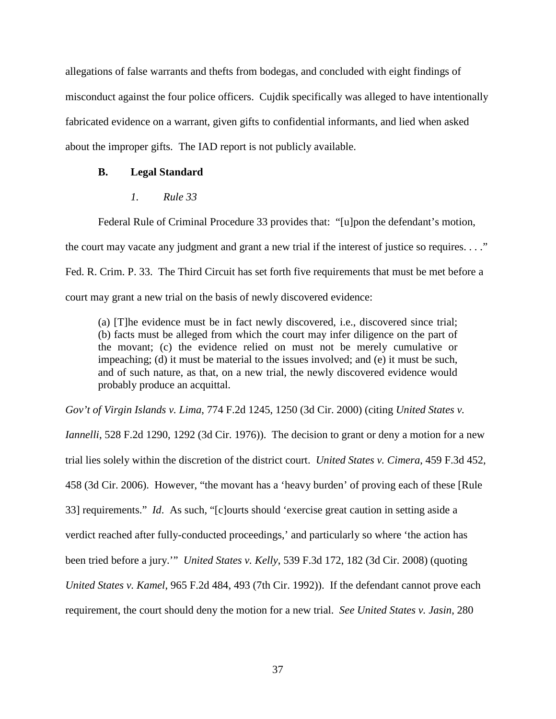allegations of false warrants and thefts from bodegas, and concluded with eight findings of misconduct against the four police officers. Cujdik specifically was alleged to have intentionally fabricated evidence on a warrant, given gifts to confidential informants, and lied when asked about the improper gifts. The IAD report is not publicly available.

## **B. Legal Standard**

## *1. Rule 33*

Federal Rule of Criminal Procedure 33 provides that: "[u]pon the defendant's motion,

the court may vacate any judgment and grant a new trial if the interest of justice so requires. . . ."

Fed. R. Crim. P. 33. The Third Circuit has set forth five requirements that must be met before a

court may grant a new trial on the basis of newly discovered evidence:

(a) [T]he evidence must be in fact newly discovered, i.e., discovered since trial; (b) facts must be alleged from which the court may infer diligence on the part of the movant; (c) the evidence relied on must not be merely cumulative or impeaching; (d) it must be material to the issues involved; and (e) it must be such, and of such nature, as that, on a new trial, the newly discovered evidence would probably produce an acquittal.

*Gov't of Virgin Islands v. Lima*, 774 F.2d 1245, 1250 (3d Cir. 2000) (citing *United States v. Iannelli*, 528 F.2d 1290, 1292 (3d Cir. 1976)). The decision to grant or deny a motion for a new trial lies solely within the discretion of the district court. *United States v. Cimera*, 459 F.3d 452, 458 (3d Cir. 2006). However, "the movant has a 'heavy burden' of proving each of these [Rule 33] requirements." *Id*. As such, "[c]ourts should 'exercise great caution in setting aside a verdict reached after fully-conducted proceedings,' and particularly so where 'the action has been tried before a jury.'" *United States v. Kelly*, 539 F.3d 172, 182 (3d Cir. 2008) (quoting *United States v. Kamel*, 965 F.2d 484, 493 (7th Cir. 1992)). If the defendant cannot prove each requirement, the court should deny the motion for a new trial. *See United States v. Jasin*, 280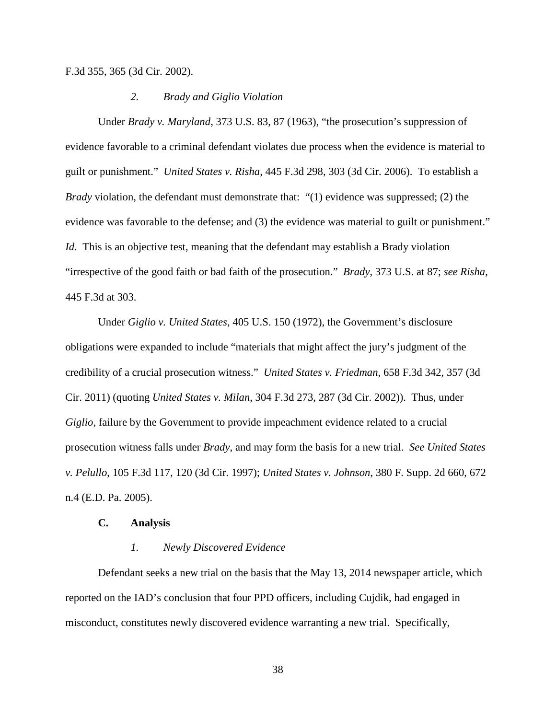F.3d 355, 365 (3d Cir. 2002).

#### *2. Brady and Giglio Violation*

Under *Brady v. Maryland*, 373 U.S. 83, 87 (1963), "the prosecution's suppression of evidence favorable to a criminal defendant violates due process when the evidence is material to guilt or punishment." *United States v. Risha*, 445 F.3d 298, 303 (3d Cir. 2006). To establish a *Brady* violation, the defendant must demonstrate that: "(1) evidence was suppressed; (2) the evidence was favorable to the defense; and (3) the evidence was material to guilt or punishment." *Id*. This is an objective test, meaning that the defendant may establish a Brady violation "irrespective of the good faith or bad faith of the prosecution." *Brady*, 373 U.S. at 87; *see Risha*, 445 F.3d at 303.

Under *Giglio v. United States*, 405 U.S. 150 (1972), the Government's disclosure obligations were expanded to include "materials that might affect the jury's judgment of the credibility of a crucial prosecution witness." *United States v. Friedman*, 658 F.3d 342, 357 (3d Cir. 2011) (quoting *United States v. Milan*, 304 F.3d 273, 287 (3d Cir. 2002)). Thus, under *Giglio*, failure by the Government to provide impeachment evidence related to a crucial prosecution witness falls under *Brady*, and may form the basis for a new trial. *See United States v. Pelullo*, 105 F.3d 117, 120 (3d Cir. 1997); *United States v. Johnson*, 380 F. Supp. 2d 660, 672 n.4 (E.D. Pa. 2005).

#### **C. Analysis**

#### *1. Newly Discovered Evidence*

Defendant seeks a new trial on the basis that the May 13, 2014 newspaper article, which reported on the IAD's conclusion that four PPD officers, including Cujdik, had engaged in misconduct, constitutes newly discovered evidence warranting a new trial. Specifically,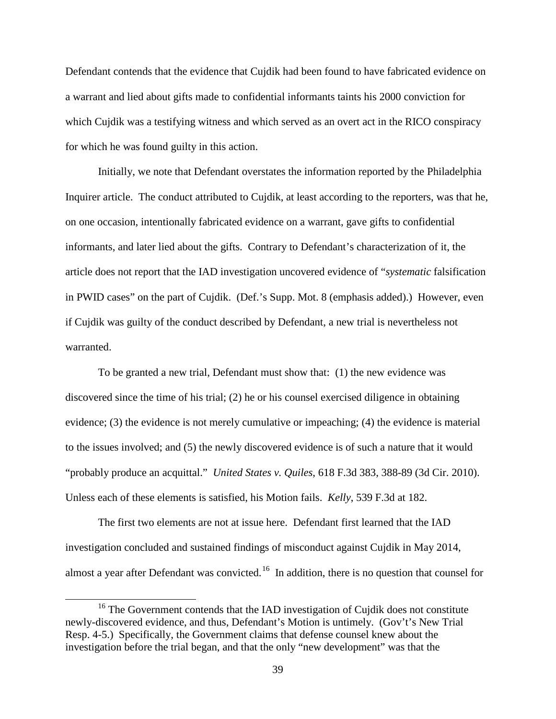Defendant contends that the evidence that Cujdik had been found to have fabricated evidence on a warrant and lied about gifts made to confidential informants taints his 2000 conviction for which Cujdik was a testifying witness and which served as an overt act in the RICO conspiracy for which he was found guilty in this action.

Initially, we note that Defendant overstates the information reported by the Philadelphia Inquirer article. The conduct attributed to Cujdik, at least according to the reporters, was that he, on one occasion, intentionally fabricated evidence on a warrant, gave gifts to confidential informants, and later lied about the gifts. Contrary to Defendant's characterization of it, the article does not report that the IAD investigation uncovered evidence of "*systematic* falsification in PWID cases" on the part of Cujdik. (Def.'s Supp. Mot. 8 (emphasis added).) However, even if Cujdik was guilty of the conduct described by Defendant, a new trial is nevertheless not warranted.

To be granted a new trial, Defendant must show that: (1) the new evidence was discovered since the time of his trial; (2) he or his counsel exercised diligence in obtaining evidence; (3) the evidence is not merely cumulative or impeaching; (4) the evidence is material to the issues involved; and (5) the newly discovered evidence is of such a nature that it would "probably produce an acquittal." *United States v. Quiles*, 618 F.3d 383, 388-89 (3d Cir. 2010). Unless each of these elements is satisfied, his Motion fails. *Kelly*, 539 F.3d at 182.

The first two elements are not at issue here. Defendant first learned that the IAD investigation concluded and sustained findings of misconduct against Cujdik in May 2014, almost a year after Defendant was convicted.<sup>[16](#page-38-0)</sup> In addition, there is no question that counsel for

 $\overline{a}$ 

<span id="page-38-0"></span><sup>&</sup>lt;sup>16</sup> The Government contends that the IAD investigation of Cujdik does not constitute newly-discovered evidence, and thus, Defendant's Motion is untimely. (Gov't's New Trial Resp. 4-5.) Specifically, the Government claims that defense counsel knew about the investigation before the trial began, and that the only "new development" was that the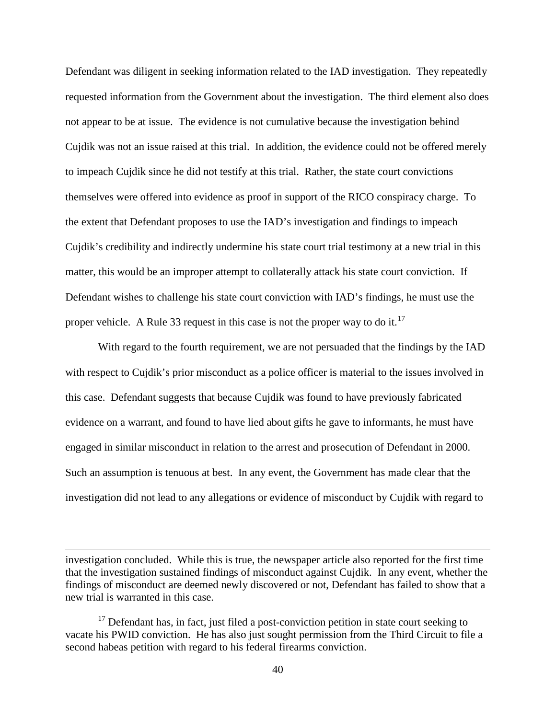Defendant was diligent in seeking information related to the IAD investigation. They repeatedly requested information from the Government about the investigation. The third element also does not appear to be at issue. The evidence is not cumulative because the investigation behind Cujdik was not an issue raised at this trial. In addition, the evidence could not be offered merely to impeach Cujdik since he did not testify at this trial. Rather, the state court convictions themselves were offered into evidence as proof in support of the RICO conspiracy charge. To the extent that Defendant proposes to use the IAD's investigation and findings to impeach Cujdik's credibility and indirectly undermine his state court trial testimony at a new trial in this matter, this would be an improper attempt to collaterally attack his state court conviction. If Defendant wishes to challenge his state court conviction with IAD's findings, he must use the proper vehicle. A Rule 33 request in this case is not the proper way to do it.<sup>[17](#page-39-0)</sup>

With regard to the fourth requirement, we are not persuaded that the findings by the IAD with respect to Cujdik's prior misconduct as a police officer is material to the issues involved in this case. Defendant suggests that because Cujdik was found to have previously fabricated evidence on a warrant, and found to have lied about gifts he gave to informants, he must have engaged in similar misconduct in relation to the arrest and prosecution of Defendant in 2000. Such an assumption is tenuous at best. In any event, the Government has made clear that the investigation did not lead to any allegations or evidence of misconduct by Cujdik with regard to

 $\overline{a}$ 

investigation concluded. While this is true, the newspaper article also reported for the first time that the investigation sustained findings of misconduct against Cujdik. In any event, whether the findings of misconduct are deemed newly discovered or not, Defendant has failed to show that a new trial is warranted in this case.

<span id="page-39-0"></span> $17$  Defendant has, in fact, just filed a post-conviction petition in state court seeking to vacate his PWID conviction. He has also just sought permission from the Third Circuit to file a second habeas petition with regard to his federal firearms conviction.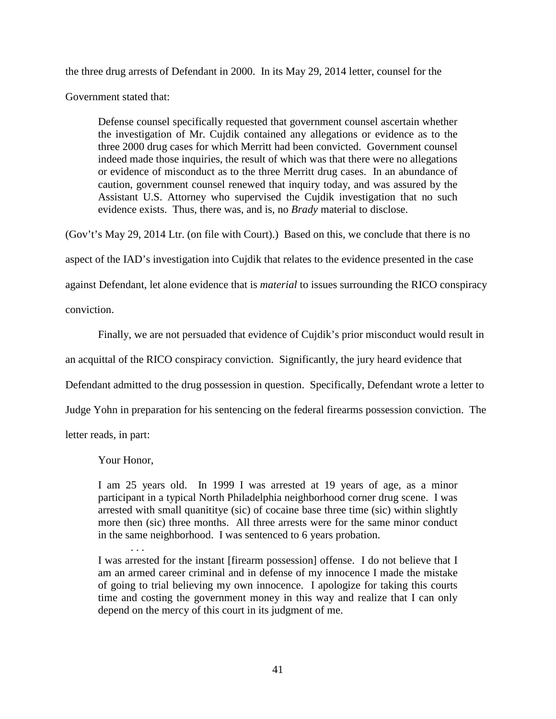the three drug arrests of Defendant in 2000. In its May 29, 2014 letter, counsel for the

Government stated that:

Defense counsel specifically requested that government counsel ascertain whether the investigation of Mr. Cujdik contained any allegations or evidence as to the three 2000 drug cases for which Merritt had been convicted. Government counsel indeed made those inquiries, the result of which was that there were no allegations or evidence of misconduct as to the three Merritt drug cases. In an abundance of caution, government counsel renewed that inquiry today, and was assured by the Assistant U.S. Attorney who supervised the Cujdik investigation that no such evidence exists. Thus, there was, and is, no *Brady* material to disclose.

(Gov't's May 29, 2014 Ltr. (on file with Court).) Based on this, we conclude that there is no

aspect of the IAD's investigation into Cujdik that relates to the evidence presented in the case

against Defendant, let alone evidence that is *material* to issues surrounding the RICO conspiracy

conviction.

Finally, we are not persuaded that evidence of Cujdik's prior misconduct would result in

an acquittal of the RICO conspiracy conviction. Significantly, the jury heard evidence that

Defendant admitted to the drug possession in question. Specifically, Defendant wrote a letter to

Judge Yohn in preparation for his sentencing on the federal firearms possession conviction. The

letter reads, in part:

Your Honor,

I am 25 years old. In 1999 I was arrested at 19 years of age, as a minor participant in a typical North Philadelphia neighborhood corner drug scene. I was arrested with small quanititye (sic) of cocaine base three time (sic) within slightly more then (sic) three months. All three arrests were for the same minor conduct in the same neighborhood. I was sentenced to 6 years probation.

. . . I was arrested for the instant [firearm possession] offense. I do not believe that I am an armed career criminal and in defense of my innocence I made the mistake of going to trial believing my own innocence. I apologize for taking this courts time and costing the government money in this way and realize that I can only depend on the mercy of this court in its judgment of me.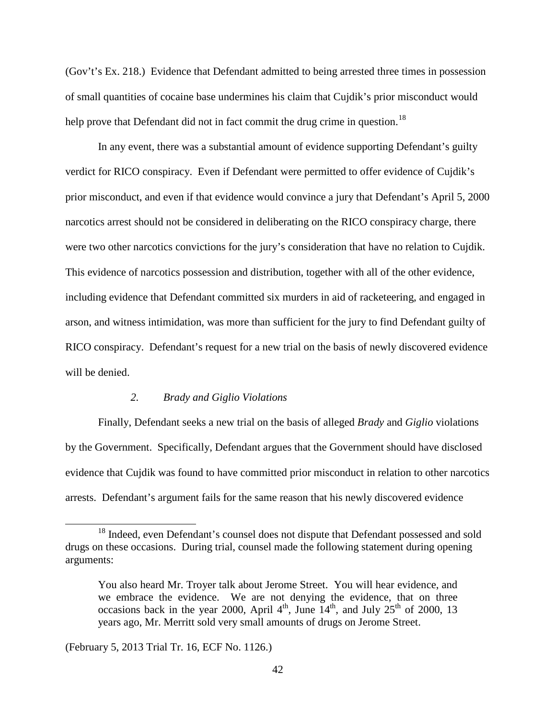(Gov't's Ex. 218.) Evidence that Defendant admitted to being arrested three times in possession of small quantities of cocaine base undermines his claim that Cujdik's prior misconduct would help prove that Defendant did not in fact commit the drug crime in question.<sup>[18](#page-41-0)</sup>

In any event, there was a substantial amount of evidence supporting Defendant's guilty verdict for RICO conspiracy. Even if Defendant were permitted to offer evidence of Cujdik's prior misconduct, and even if that evidence would convince a jury that Defendant's April 5, 2000 narcotics arrest should not be considered in deliberating on the RICO conspiracy charge, there were two other narcotics convictions for the jury's consideration that have no relation to Cujdik. This evidence of narcotics possession and distribution, together with all of the other evidence, including evidence that Defendant committed six murders in aid of racketeering, and engaged in arson, and witness intimidation, was more than sufficient for the jury to find Defendant guilty of RICO conspiracy. Defendant's request for a new trial on the basis of newly discovered evidence will be denied.

#### *2. Brady and Giglio Violations*

Finally, Defendant seeks a new trial on the basis of alleged *Brady* and *Giglio* violations by the Government. Specifically, Defendant argues that the Government should have disclosed evidence that Cujdik was found to have committed prior misconduct in relation to other narcotics arrests. Defendant's argument fails for the same reason that his newly discovered evidence

(February 5, 2013 Trial Tr. 16, ECF No. 1126.)

 $\overline{a}$ 

<span id="page-41-0"></span><sup>&</sup>lt;sup>18</sup> Indeed, even Defendant's counsel does not dispute that Defendant possessed and sold drugs on these occasions. During trial, counsel made the following statement during opening arguments:

You also heard Mr. Troyer talk about Jerome Street. You will hear evidence, and we embrace the evidence. We are not denying the evidence, that on three occasions back in the year 2000, April 4<sup>th</sup>, June  $14<sup>th</sup>$ , and July 25<sup>th</sup> of 2000, 13 years ago, Mr. Merritt sold very small amounts of drugs on Jerome Street.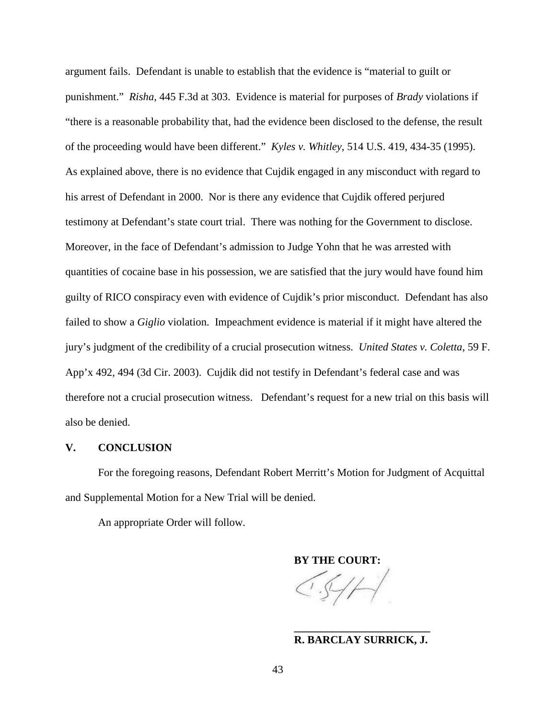argument fails. Defendant is unable to establish that the evidence is "material to guilt or punishment." *Risha*, 445 F.3d at 303. Evidence is material for purposes of *Brady* violations if "there is a reasonable probability that, had the evidence been disclosed to the defense, the result of the proceeding would have been different." *Kyles v. Whitley*, 514 U.S. 419, 434-35 (1995). As explained above, there is no evidence that Cujdik engaged in any misconduct with regard to his arrest of Defendant in 2000. Nor is there any evidence that Cujdik offered perjured testimony at Defendant's state court trial. There was nothing for the Government to disclose. Moreover, in the face of Defendant's admission to Judge Yohn that he was arrested with quantities of cocaine base in his possession, we are satisfied that the jury would have found him guilty of RICO conspiracy even with evidence of Cujdik's prior misconduct. Defendant has also failed to show a *Giglio* violation. Impeachment evidence is material if it might have altered the jury's judgment of the credibility of a crucial prosecution witness. *United States v. Coletta*, 59 F. App'x 492, 494 (3d Cir. 2003). Cujdik did not testify in Defendant's federal case and was therefore not a crucial prosecution witness. Defendant's request for a new trial on this basis will also be denied.

#### **V. CONCLUSION**

For the foregoing reasons, Defendant Robert Merritt's Motion for Judgment of Acquittal and Supplemental Motion for a New Trial will be denied.

An appropriate Order will follow.

**BY THE COURT:** 

#### **\_\_\_\_\_\_\_\_\_\_\_\_\_\_\_\_\_\_\_\_\_\_\_\_\_ R. BARCLAY SURRICK, J.**